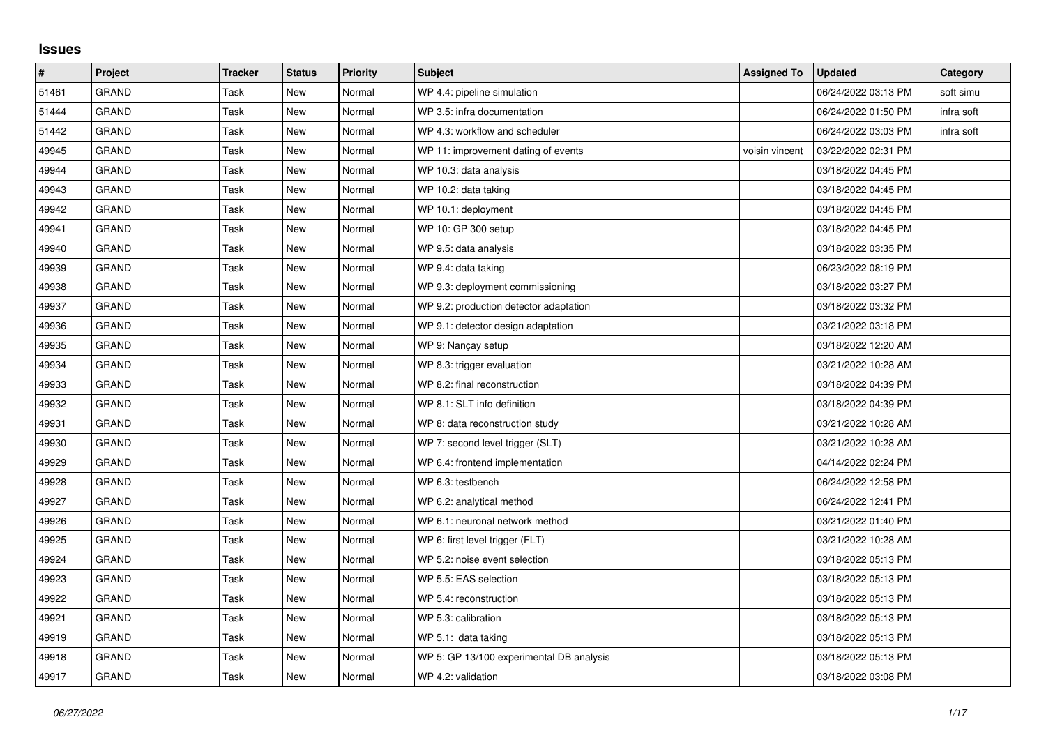## **Issues**

| $\vert$ # | <b>Project</b> | <b>Tracker</b> | <b>Status</b> | <b>Priority</b> | <b>Subject</b>                           | <b>Assigned To</b> | <b>Updated</b>      | Category   |
|-----------|----------------|----------------|---------------|-----------------|------------------------------------------|--------------------|---------------------|------------|
| 51461     | <b>GRAND</b>   | Task           | <b>New</b>    | Normal          | WP 4.4: pipeline simulation              |                    | 06/24/2022 03:13 PM | soft simu  |
| 51444     | <b>GRAND</b>   | Task           | <b>New</b>    | Normal          | WP 3.5: infra documentation              |                    | 06/24/2022 01:50 PM | infra soft |
| 51442     | <b>GRAND</b>   | Task           | New           | Normal          | WP 4.3: workflow and scheduler           |                    | 06/24/2022 03:03 PM | infra soft |
| 49945     | <b>GRAND</b>   | Task           | <b>New</b>    | Normal          | WP 11: improvement dating of events      | voisin vincent     | 03/22/2022 02:31 PM |            |
| 49944     | <b>GRAND</b>   | Task           | New           | Normal          | WP 10.3: data analysis                   |                    | 03/18/2022 04:45 PM |            |
| 49943     | <b>GRAND</b>   | Task           | <b>New</b>    | Normal          | WP 10.2: data taking                     |                    | 03/18/2022 04:45 PM |            |
| 49942     | <b>GRAND</b>   | Task           | <b>New</b>    | Normal          | WP 10.1: deployment                      |                    | 03/18/2022 04:45 PM |            |
| 49941     | <b>GRAND</b>   | Task           | New           | Normal          | WP 10: GP 300 setup                      |                    | 03/18/2022 04:45 PM |            |
| 49940     | <b>GRAND</b>   | Task           | <b>New</b>    | Normal          | WP 9.5: data analysis                    |                    | 03/18/2022 03:35 PM |            |
| 49939     | <b>GRAND</b>   | Task           | New           | Normal          | WP 9.4: data taking                      |                    | 06/23/2022 08:19 PM |            |
| 49938     | <b>GRAND</b>   | Task           | New           | Normal          | WP 9.3: deployment commissioning         |                    | 03/18/2022 03:27 PM |            |
| 49937     | <b>GRAND</b>   | Task           | <b>New</b>    | Normal          | WP 9.2: production detector adaptation   |                    | 03/18/2022 03:32 PM |            |
| 49936     | <b>GRAND</b>   | Task           | New           | Normal          | WP 9.1: detector design adaptation       |                    | 03/21/2022 03:18 PM |            |
| 49935     | <b>GRAND</b>   | Task           | New           | Normal          | WP 9: Nancay setup                       |                    | 03/18/2022 12:20 AM |            |
| 49934     | <b>GRAND</b>   | Task           | <b>New</b>    | Normal          | WP 8.3: trigger evaluation               |                    | 03/21/2022 10:28 AM |            |
| 49933     | <b>GRAND</b>   | Task           | New           | Normal          | WP 8.2: final reconstruction             |                    | 03/18/2022 04:39 PM |            |
| 49932     | <b>GRAND</b>   | Task           | New           | Normal          | WP 8.1: SLT info definition              |                    | 03/18/2022 04:39 PM |            |
| 49931     | <b>GRAND</b>   | Task           | New           | Normal          | WP 8: data reconstruction study          |                    | 03/21/2022 10:28 AM |            |
| 49930     | <b>GRAND</b>   | Task           | <b>New</b>    | Normal          | WP 7: second level trigger (SLT)         |                    | 03/21/2022 10:28 AM |            |
| 49929     | <b>GRAND</b>   | Task           | New           | Normal          | WP 6.4: frontend implementation          |                    | 04/14/2022 02:24 PM |            |
| 49928     | <b>GRAND</b>   | Task           | New           | Normal          | WP 6.3: testbench                        |                    | 06/24/2022 12:58 PM |            |
| 49927     | <b>GRAND</b>   | Task           | <b>New</b>    | Normal          | WP 6.2: analytical method                |                    | 06/24/2022 12:41 PM |            |
| 49926     | <b>GRAND</b>   | Task           | New           | Normal          | WP 6.1: neuronal network method          |                    | 03/21/2022 01:40 PM |            |
| 49925     | <b>GRAND</b>   | Task           | New           | Normal          | WP 6: first level trigger (FLT)          |                    | 03/21/2022 10:28 AM |            |
| 49924     | GRAND          | Task           | New           | Normal          | WP 5.2: noise event selection            |                    | 03/18/2022 05:13 PM |            |
| 49923     | <b>GRAND</b>   | Task           | New           | Normal          | WP 5.5: EAS selection                    |                    | 03/18/2022 05:13 PM |            |
| 49922     | <b>GRAND</b>   | Task           | <b>New</b>    | Normal          | WP 5.4: reconstruction                   |                    | 03/18/2022 05:13 PM |            |
| 49921     | <b>GRAND</b>   | Task           | New           | Normal          | WP 5.3: calibration                      |                    | 03/18/2022 05:13 PM |            |
| 49919     | <b>GRAND</b>   | Task           | New           | Normal          | WP 5.1: data taking                      |                    | 03/18/2022 05:13 PM |            |
| 49918     | <b>GRAND</b>   | Task           | <b>New</b>    | Normal          | WP 5: GP 13/100 experimental DB analysis |                    | 03/18/2022 05:13 PM |            |
| 49917     | <b>GRAND</b>   | Task           | <b>New</b>    | Normal          | WP 4.2: validation                       |                    | 03/18/2022 03:08 PM |            |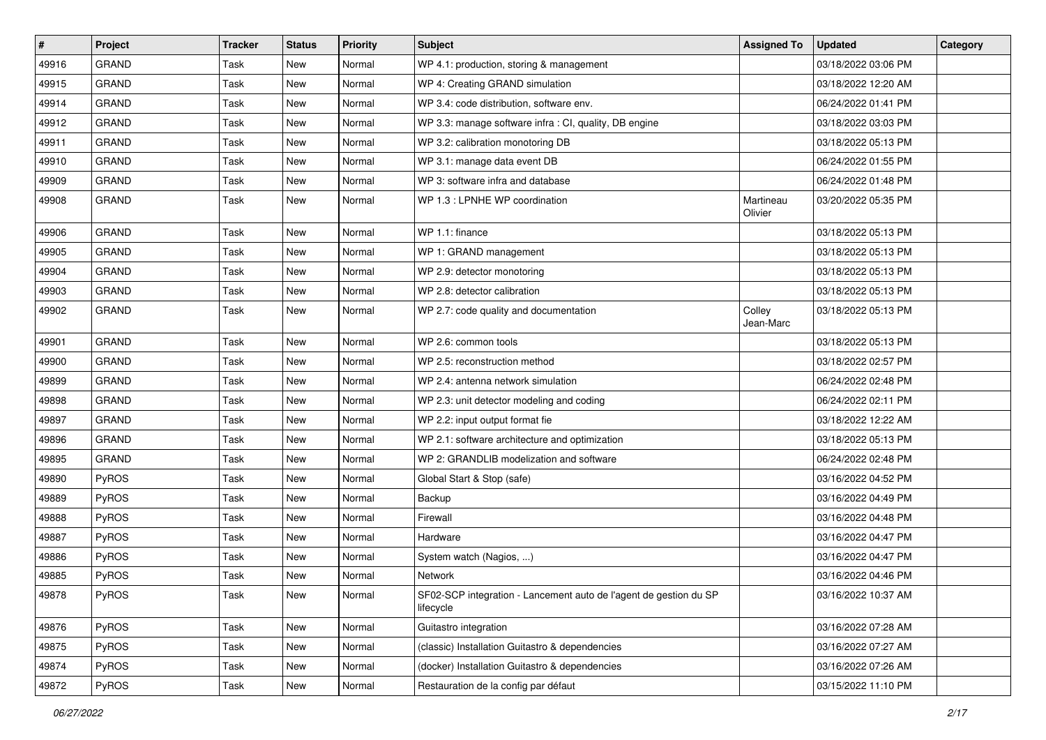| $\vert$ # | Project      | <b>Tracker</b> | <b>Status</b> | <b>Priority</b> | <b>Subject</b>                                                                 | <b>Assigned To</b>   | <b>Updated</b>      | Category |
|-----------|--------------|----------------|---------------|-----------------|--------------------------------------------------------------------------------|----------------------|---------------------|----------|
| 49916     | <b>GRAND</b> | Task           | New           | Normal          | WP 4.1: production, storing & management                                       |                      | 03/18/2022 03:06 PM |          |
| 49915     | GRAND        | Task           | <b>New</b>    | Normal          | WP 4: Creating GRAND simulation                                                |                      | 03/18/2022 12:20 AM |          |
| 49914     | <b>GRAND</b> | Task           | <b>New</b>    | Normal          | WP 3.4: code distribution, software env.                                       |                      | 06/24/2022 01:41 PM |          |
| 49912     | GRAND        | Task           | New           | Normal          | WP 3.3: manage software infra : CI, quality, DB engine                         |                      | 03/18/2022 03:03 PM |          |
| 49911     | <b>GRAND</b> | Task           | <b>New</b>    | Normal          | WP 3.2: calibration monotoring DB                                              |                      | 03/18/2022 05:13 PM |          |
| 49910     | GRAND        | Task           | <b>New</b>    | Normal          | WP 3.1: manage data event DB                                                   |                      | 06/24/2022 01:55 PM |          |
| 49909     | <b>GRAND</b> | Task           | <b>New</b>    | Normal          | WP 3: software infra and database                                              |                      | 06/24/2022 01:48 PM |          |
| 49908     | <b>GRAND</b> | Task           | New           | Normal          | WP 1.3 : LPNHE WP coordination                                                 | Martineau<br>Olivier | 03/20/2022 05:35 PM |          |
| 49906     | <b>GRAND</b> | Task           | <b>New</b>    | Normal          | WP 1.1: finance                                                                |                      | 03/18/2022 05:13 PM |          |
| 49905     | <b>GRAND</b> | Task           | <b>New</b>    | Normal          | WP 1: GRAND management                                                         |                      | 03/18/2022 05:13 PM |          |
| 49904     | GRAND        | Task           | New           | Normal          | WP 2.9: detector monotoring                                                    |                      | 03/18/2022 05:13 PM |          |
| 49903     | <b>GRAND</b> | Task           | <b>New</b>    | Normal          | WP 2.8: detector calibration                                                   |                      | 03/18/2022 05:13 PM |          |
| 49902     | <b>GRAND</b> | Task           | New           | Normal          | WP 2.7: code quality and documentation                                         | Colley<br>Jean-Marc  | 03/18/2022 05:13 PM |          |
| 49901     | <b>GRAND</b> | Task           | <b>New</b>    | Normal          | WP 2.6: common tools                                                           |                      | 03/18/2022 05:13 PM |          |
| 49900     | GRAND        | Task           | <b>New</b>    | Normal          | WP 2.5: reconstruction method                                                  |                      | 03/18/2022 02:57 PM |          |
| 49899     | <b>GRAND</b> | Task           | <b>New</b>    | Normal          | WP 2.4: antenna network simulation                                             |                      | 06/24/2022 02:48 PM |          |
| 49898     | <b>GRAND</b> | Task           | <b>New</b>    | Normal          | WP 2.3: unit detector modeling and coding                                      |                      | 06/24/2022 02:11 PM |          |
| 49897     | GRAND        | Task           | <b>New</b>    | Normal          | WP 2.2: input output format fie                                                |                      | 03/18/2022 12:22 AM |          |
| 49896     | <b>GRAND</b> | Task           | <b>New</b>    | Normal          | WP 2.1: software architecture and optimization                                 |                      | 03/18/2022 05:13 PM |          |
| 49895     | <b>GRAND</b> | Task           | <b>New</b>    | Normal          | WP 2: GRANDLIB modelization and software                                       |                      | 06/24/2022 02:48 PM |          |
| 49890     | PyROS        | Task           | <b>New</b>    | Normal          | Global Start & Stop (safe)                                                     |                      | 03/16/2022 04:52 PM |          |
| 49889     | PyROS        | Task           | <b>New</b>    | Normal          | Backup                                                                         |                      | 03/16/2022 04:49 PM |          |
| 49888     | PyROS        | Task           | New           | Normal          | Firewall                                                                       |                      | 03/16/2022 04:48 PM |          |
| 49887     | PyROS        | Task           | <b>New</b>    | Normal          | Hardware                                                                       |                      | 03/16/2022 04:47 PM |          |
| 49886     | PyROS        | Task           | <b>New</b>    | Normal          | System watch (Nagios, )                                                        |                      | 03/16/2022 04:47 PM |          |
| 49885     | PyROS        | Task           | <b>New</b>    | Normal          | Network                                                                        |                      | 03/16/2022 04:46 PM |          |
| 49878     | PyROS        | Task           | New           | Normal          | SF02-SCP integration - Lancement auto de l'agent de gestion du SP<br>lifecycle |                      | 03/16/2022 10:37 AM |          |
| 49876     | PyROS        | Task           | New           | Normal          | Guitastro integration                                                          |                      | 03/16/2022 07:28 AM |          |
| 49875     | <b>PyROS</b> | Task           | New           | Normal          | (classic) Installation Guitastro & dependencies                                |                      | 03/16/2022 07:27 AM |          |
| 49874     | <b>PyROS</b> | Task           | New           | Normal          | (docker) Installation Guitastro & dependencies                                 |                      | 03/16/2022 07:26 AM |          |
| 49872     | PyROS        | Task           | New           | Normal          | Restauration de la config par défaut                                           |                      | 03/15/2022 11:10 PM |          |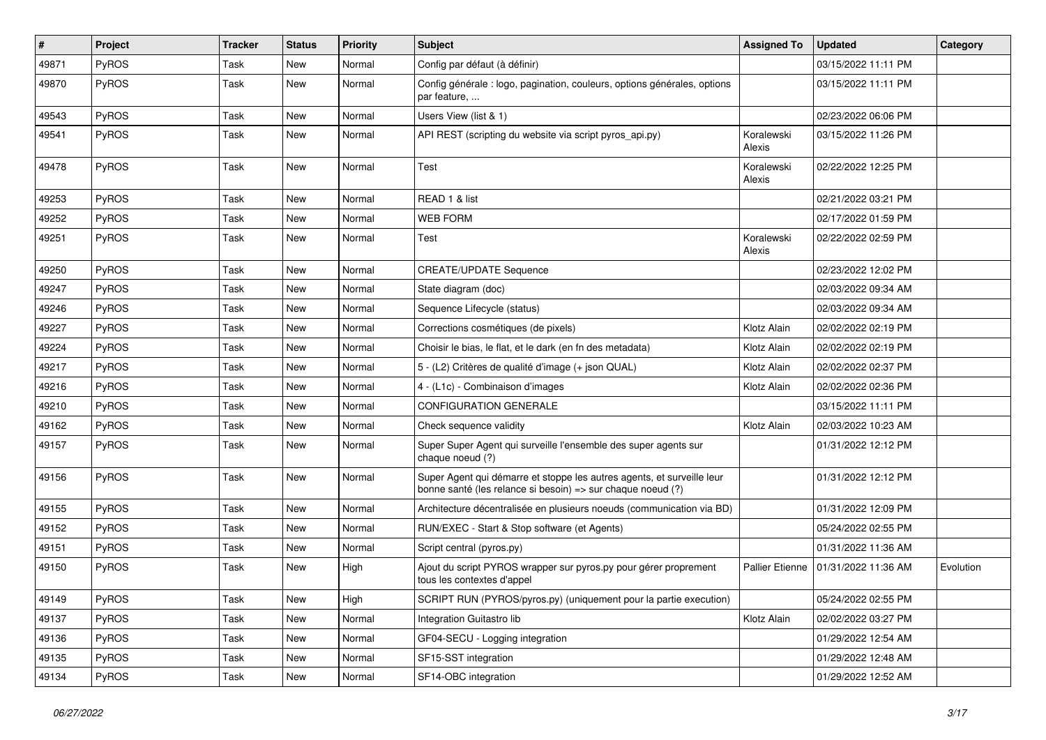| $\vert$ # | Project      | <b>Tracker</b> | <b>Status</b> | <b>Priority</b> | Subject                                                                                                                               | <b>Assigned To</b>   | <b>Updated</b>      | Category  |
|-----------|--------------|----------------|---------------|-----------------|---------------------------------------------------------------------------------------------------------------------------------------|----------------------|---------------------|-----------|
| 49871     | PyROS        | Task           | <b>New</b>    | Normal          | Config par défaut (à définir)                                                                                                         |                      | 03/15/2022 11:11 PM |           |
| 49870     | PyROS        | Task           | <b>New</b>    | Normal          | Config générale : logo, pagination, couleurs, options générales, options<br>par feature,                                              |                      | 03/15/2022 11:11 PM |           |
| 49543     | <b>PyROS</b> | Task           | New           | Normal          | Users View (list & 1)                                                                                                                 |                      | 02/23/2022 06:06 PM |           |
| 49541     | PyROS        | Task           | New           | Normal          | API REST (scripting du website via script pyros_api.py)                                                                               | Koralewski<br>Alexis | 03/15/2022 11:26 PM |           |
| 49478     | PyROS        | Task           | New           | Normal          | Test                                                                                                                                  | Koralewski<br>Alexis | 02/22/2022 12:25 PM |           |
| 49253     | PyROS        | Task           | <b>New</b>    | Normal          | READ 1 & list                                                                                                                         |                      | 02/21/2022 03:21 PM |           |
| 49252     | PyROS        | Task           | <b>New</b>    | Normal          | <b>WEB FORM</b>                                                                                                                       |                      | 02/17/2022 01:59 PM |           |
| 49251     | PyROS        | Task           | New           | Normal          | Test                                                                                                                                  | Koralewski<br>Alexis | 02/22/2022 02:59 PM |           |
| 49250     | PyROS        | Task           | <b>New</b>    | Normal          | <b>CREATE/UPDATE Sequence</b>                                                                                                         |                      | 02/23/2022 12:02 PM |           |
| 49247     | <b>PyROS</b> | Task           | <b>New</b>    | Normal          | State diagram (doc)                                                                                                                   |                      | 02/03/2022 09:34 AM |           |
| 49246     | PyROS        | Task           | <b>New</b>    | Normal          | Sequence Lifecycle (status)                                                                                                           |                      | 02/03/2022 09:34 AM |           |
| 49227     | PyROS        | Task           | New           | Normal          | Corrections cosmétiques (de pixels)                                                                                                   | Klotz Alain          | 02/02/2022 02:19 PM |           |
| 49224     | PyROS        | Task           | <b>New</b>    | Normal          | Choisir le bias, le flat, et le dark (en fn des metadata)                                                                             | Klotz Alain          | 02/02/2022 02:19 PM |           |
| 49217     | PyROS        | Task           | <b>New</b>    | Normal          | 5 - (L2) Critères de qualité d'image (+ json QUAL)                                                                                    | Klotz Alain          | 02/02/2022 02:37 PM |           |
| 49216     | PyROS        | Task           | <b>New</b>    | Normal          | 4 - (L1c) - Combinaison d'images                                                                                                      | Klotz Alain          | 02/02/2022 02:36 PM |           |
| 49210     | PyROS        | Task           | <b>New</b>    | Normal          | <b>CONFIGURATION GENERALE</b>                                                                                                         |                      | 03/15/2022 11:11 PM |           |
| 49162     | PyROS        | Task           | New           | Normal          | Check sequence validity                                                                                                               | Klotz Alain          | 02/03/2022 10:23 AM |           |
| 49157     | PyROS        | Task           | New           | Normal          | Super Super Agent qui surveille l'ensemble des super agents sur<br>chaque noeud (?)                                                   |                      | 01/31/2022 12:12 PM |           |
| 49156     | PyROS        | Task           | New           | Normal          | Super Agent qui démarre et stoppe les autres agents, et surveille leur<br>bonne santé (les relance si besoin) => sur chaque noeud (?) |                      | 01/31/2022 12:12 PM |           |
| 49155     | PyROS        | Task           | <b>New</b>    | Normal          | Architecture décentralisée en plusieurs noeuds (communication via BD)                                                                 |                      | 01/31/2022 12:09 PM |           |
| 49152     | PyROS        | Task           | <b>New</b>    | Normal          | RUN/EXEC - Start & Stop software (et Agents)                                                                                          |                      | 05/24/2022 02:55 PM |           |
| 49151     | PyROS        | Task           | New           | Normal          | Script central (pyros.py)                                                                                                             |                      | 01/31/2022 11:36 AM |           |
| 49150     | PyROS        | Task           | <b>New</b>    | High            | Ajout du script PYROS wrapper sur pyros.py pour gérer proprement<br>tous les contextes d'appel                                        | Pallier Etienne      | 01/31/2022 11:36 AM | Evolution |
| 49149     | PyROS        | Task           | New           | High            | SCRIPT RUN (PYROS/pyros.py) (uniquement pour la partie execution)                                                                     |                      | 05/24/2022 02:55 PM |           |
| 49137     | PyROS        | Task           | New           | Normal          | Integration Guitastro lib                                                                                                             | Klotz Alain          | 02/02/2022 03:27 PM |           |
| 49136     | PyROS        | Task           | New           | Normal          | GF04-SECU - Logging integration                                                                                                       |                      | 01/29/2022 12:54 AM |           |
| 49135     | PyROS        | Task           | New           | Normal          | SF15-SST integration                                                                                                                  |                      | 01/29/2022 12:48 AM |           |
| 49134     | PyROS        | Task           | New           | Normal          | SF14-OBC integration                                                                                                                  |                      | 01/29/2022 12:52 AM |           |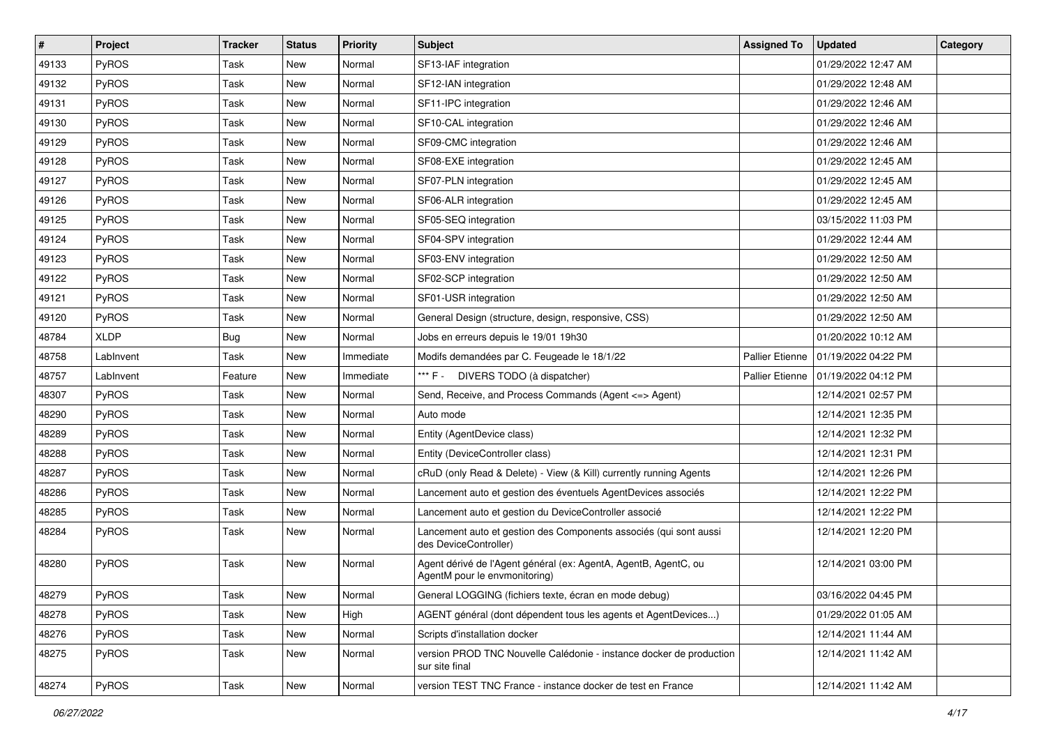| $\vert$ # | Project      | <b>Tracker</b> | <b>Status</b> | <b>Priority</b> | Subject                                                                                          | <b>Assigned To</b>     | <b>Updated</b>      | Category |
|-----------|--------------|----------------|---------------|-----------------|--------------------------------------------------------------------------------------------------|------------------------|---------------------|----------|
| 49133     | <b>PyROS</b> | Task           | New           | Normal          | SF13-IAF integration                                                                             |                        | 01/29/2022 12:47 AM |          |
| 49132     | PyROS        | Task           | <b>New</b>    | Normal          | SF12-IAN integration                                                                             |                        | 01/29/2022 12:48 AM |          |
| 49131     | PyROS        | Task           | New           | Normal          | SF11-IPC integration                                                                             |                        | 01/29/2022 12:46 AM |          |
| 49130     | PyROS        | Task           | New           | Normal          | SF10-CAL integration                                                                             |                        | 01/29/2022 12:46 AM |          |
| 49129     | PyROS        | Task           | <b>New</b>    | Normal          | SF09-CMC integration                                                                             |                        | 01/29/2022 12:46 AM |          |
| 49128     | PyROS        | Task           | <b>New</b>    | Normal          | SF08-EXE integration                                                                             |                        | 01/29/2022 12:45 AM |          |
| 49127     | PyROS        | Task           | New           | Normal          | SF07-PLN integration                                                                             |                        | 01/29/2022 12:45 AM |          |
| 49126     | PyROS        | Task           | New           | Normal          | SF06-ALR integration                                                                             |                        | 01/29/2022 12:45 AM |          |
| 49125     | PyROS        | Task           | New           | Normal          | SF05-SEQ integration                                                                             |                        | 03/15/2022 11:03 PM |          |
| 49124     | PyROS        | Task           | <b>New</b>    | Normal          | SF04-SPV integration                                                                             |                        | 01/29/2022 12:44 AM |          |
| 49123     | PyROS        | Task           | New           | Normal          | SF03-ENV integration                                                                             |                        | 01/29/2022 12:50 AM |          |
| 49122     | PyROS        | Task           | New           | Normal          | SF02-SCP integration                                                                             |                        | 01/29/2022 12:50 AM |          |
| 49121     | PyROS        | Task           | <b>New</b>    | Normal          | SF01-USR integration                                                                             |                        | 01/29/2022 12:50 AM |          |
| 49120     | PyROS        | Task           | New           | Normal          | General Design (structure, design, responsive, CSS)                                              |                        | 01/29/2022 12:50 AM |          |
| 48784     | <b>XLDP</b>  | Bug            | New           | Normal          | Jobs en erreurs depuis le 19/01 19h30                                                            |                        | 01/20/2022 10:12 AM |          |
| 48758     | LabInvent    | Task           | New           | Immediate       | Modifs demandées par C. Feugeade le 18/1/22                                                      | Pallier Etienne        | 01/19/2022 04:22 PM |          |
| 48757     | LabInvent    | Feature        | New           | Immediate       | *** F - DIVERS TODO (à dispatcher)                                                               | <b>Pallier Etienne</b> | 01/19/2022 04:12 PM |          |
| 48307     | PyROS        | Task           | New           | Normal          | Send, Receive, and Process Commands (Agent <=> Agent)                                            |                        | 12/14/2021 02:57 PM |          |
| 48290     | PyROS        | Task           | New           | Normal          | Auto mode                                                                                        |                        | 12/14/2021 12:35 PM |          |
| 48289     | PyROS        | Task           | <b>New</b>    | Normal          | Entity (AgentDevice class)                                                                       |                        | 12/14/2021 12:32 PM |          |
| 48288     | PyROS        | Task           | New           | Normal          | Entity (DeviceController class)                                                                  |                        | 12/14/2021 12:31 PM |          |
| 48287     | PyROS        | Task           | <b>New</b>    | Normal          | cRuD (only Read & Delete) - View (& Kill) currently running Agents                               |                        | 12/14/2021 12:26 PM |          |
| 48286     | PyROS        | Task           | <b>New</b>    | Normal          | Lancement auto et gestion des éventuels AgentDevices associés                                    |                        | 12/14/2021 12:22 PM |          |
| 48285     | PyROS        | Task           | New           | Normal          | Lancement auto et gestion du DeviceController associé                                            |                        | 12/14/2021 12:22 PM |          |
| 48284     | PyROS        | Task           | New           | Normal          | Lancement auto et gestion des Components associés (qui sont aussi<br>des DeviceController)       |                        | 12/14/2021 12:20 PM |          |
| 48280     | PyROS        | Task           | New           | Normal          | Agent dérivé de l'Agent général (ex: AgentA, AgentB, AgentC, ou<br>AgentM pour le envmonitoring) |                        | 12/14/2021 03:00 PM |          |
| 48279     | PyROS        | Task           | New           | Normal          | General LOGGING (fichiers texte, écran en mode debug)                                            |                        | 03/16/2022 04:45 PM |          |
| 48278     | <b>PyROS</b> | Task           | New           | High            | AGENT général (dont dépendent tous les agents et AgentDevices)                                   |                        | 01/29/2022 01:05 AM |          |
| 48276     | PyROS        | Task           | New           | Normal          | Scripts d'installation docker                                                                    |                        | 12/14/2021 11:44 AM |          |
| 48275     | <b>PyROS</b> | Task           | New           | Normal          | version PROD TNC Nouvelle Calédonie - instance docker de production<br>sur site final            |                        | 12/14/2021 11:42 AM |          |
| 48274     | PyROS        | Task           | New           | Normal          | version TEST TNC France - instance docker de test en France                                      |                        | 12/14/2021 11:42 AM |          |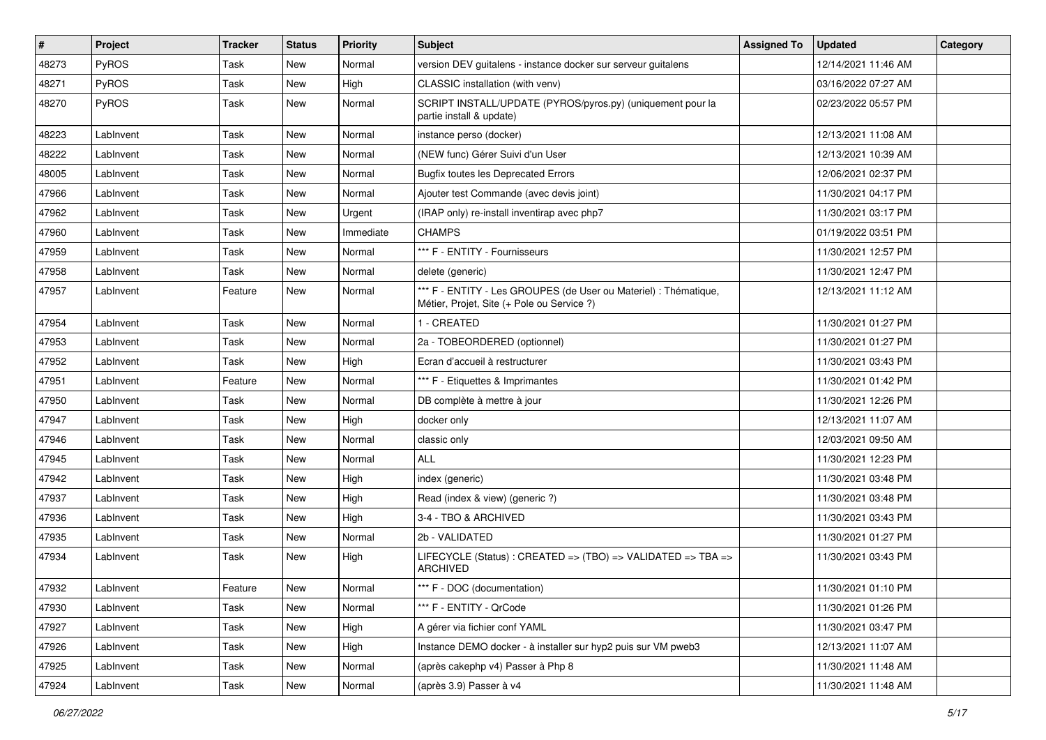| $\vert$ # | Project   | <b>Tracker</b> | <b>Status</b> | <b>Priority</b> | <b>Subject</b>                                                                                                 | <b>Assigned To</b> | <b>Updated</b>      | Category |
|-----------|-----------|----------------|---------------|-----------------|----------------------------------------------------------------------------------------------------------------|--------------------|---------------------|----------|
| 48273     | PyROS     | Task           | New           | Normal          | version DEV guitalens - instance docker sur serveur guitalens                                                  |                    | 12/14/2021 11:46 AM |          |
| 48271     | PyROS     | Task           | <b>New</b>    | High            | CLASSIC installation (with venv)                                                                               |                    | 03/16/2022 07:27 AM |          |
| 48270     | PyROS     | Task           | <b>New</b>    | Normal          | SCRIPT INSTALL/UPDATE (PYROS/pyros.py) (uniquement pour la<br>partie install & update)                         |                    | 02/23/2022 05:57 PM |          |
| 48223     | Lablnvent | Task           | <b>New</b>    | Normal          | instance perso (docker)                                                                                        |                    | 12/13/2021 11:08 AM |          |
| 48222     | Lablnvent | Task           | New           | Normal          | (NEW func) Gérer Suivi d'un User                                                                               |                    | 12/13/2021 10:39 AM |          |
| 48005     | Lablnvent | Task           | New           | Normal          | <b>Bugfix toutes les Deprecated Errors</b>                                                                     |                    | 12/06/2021 02:37 PM |          |
| 47966     | Lablnvent | Task           | New           | Normal          | Ajouter test Commande (avec devis joint)                                                                       |                    | 11/30/2021 04:17 PM |          |
| 47962     | Lablnvent | Task           | New           | Urgent          | (IRAP only) re-install inventirap avec php7                                                                    |                    | 11/30/2021 03:17 PM |          |
| 47960     | Lablnvent | Task           | <b>New</b>    | Immediate       | <b>CHAMPS</b>                                                                                                  |                    | 01/19/2022 03:51 PM |          |
| 47959     | Lablnvent | Task           | <b>New</b>    | Normal          | *** F - ENTITY - Fournisseurs                                                                                  |                    | 11/30/2021 12:57 PM |          |
| 47958     | Lablnvent | Task           | <b>New</b>    | Normal          | delete (generic)                                                                                               |                    | 11/30/2021 12:47 PM |          |
| 47957     | Lablnvent | Feature        | New           | Normal          | *** F - ENTITY - Les GROUPES (de User ou Materiel) : Thématique,<br>Métier, Projet, Site (+ Pole ou Service ?) |                    | 12/13/2021 11:12 AM |          |
| 47954     | LabInvent | Task           | <b>New</b>    | Normal          | 1 - CREATED                                                                                                    |                    | 11/30/2021 01:27 PM |          |
| 47953     | Lablnvent | Task           | New           | Normal          | 2a - TOBEORDERED (optionnel)                                                                                   |                    | 11/30/2021 01:27 PM |          |
| 47952     | Lablnvent | Task           | New           | High            | Ecran d'accueil à restructurer                                                                                 |                    | 11/30/2021 03:43 PM |          |
| 47951     | Lablnvent | Feature        | <b>New</b>    | Normal          | *** F - Etiquettes & Imprimantes                                                                               |                    | 11/30/2021 01:42 PM |          |
| 47950     | Lablnvent | Task           | New           | Normal          | DB complète à mettre à jour                                                                                    |                    | 11/30/2021 12:26 PM |          |
| 47947     | Lablnvent | Task           | New           | High            | docker only                                                                                                    |                    | 12/13/2021 11:07 AM |          |
| 47946     | Lablnvent | Task           | New           | Normal          | classic only                                                                                                   |                    | 12/03/2021 09:50 AM |          |
| 47945     | Lablnvent | Task           | New           | Normal          | <b>ALL</b>                                                                                                     |                    | 11/30/2021 12:23 PM |          |
| 47942     | Lablnvent | Task           | <b>New</b>    | High            | index (generic)                                                                                                |                    | 11/30/2021 03:48 PM |          |
| 47937     | Lablnvent | Task           | New           | High            | Read (index & view) (generic ?)                                                                                |                    | 11/30/2021 03:48 PM |          |
| 47936     | Lablnvent | Task           | New           | High            | 3-4 - TBO & ARCHIVED                                                                                           |                    | 11/30/2021 03:43 PM |          |
| 47935     | Lablnvent | Task           | <b>New</b>    | Normal          | 2b - VALIDATED                                                                                                 |                    | 11/30/2021 01:27 PM |          |
| 47934     | Lablnvent | Task           | New           | High            | LIFECYCLE (Status) : CREATED => (TBO) => VALIDATED => TBA =><br><b>ARCHIVED</b>                                |                    | 11/30/2021 03:43 PM |          |
| 47932     | LabInvent | Feature        | New           | Normal          | *** F - DOC (documentation)                                                                                    |                    | 11/30/2021 01:10 PM |          |
| 47930     | Lablnvent | Task           | New           | Normal          | *** F - ENTITY - QrCode                                                                                        |                    | 11/30/2021 01:26 PM |          |
| 47927     | Lablnvent | Task           | New           | High            | A gérer via fichier conf YAML                                                                                  |                    | 11/30/2021 03:47 PM |          |
| 47926     | Lablnvent | Task           | New           | High            | Instance DEMO docker - à installer sur hyp2 puis sur VM pweb3                                                  |                    | 12/13/2021 11:07 AM |          |
| 47925     | LabInvent | Task           | New           | Normal          | (après cakephp v4) Passer à Php 8                                                                              |                    | 11/30/2021 11:48 AM |          |
| 47924     | Lablnvent | Task           | New           | Normal          | (après 3.9) Passer à v4                                                                                        |                    | 11/30/2021 11:48 AM |          |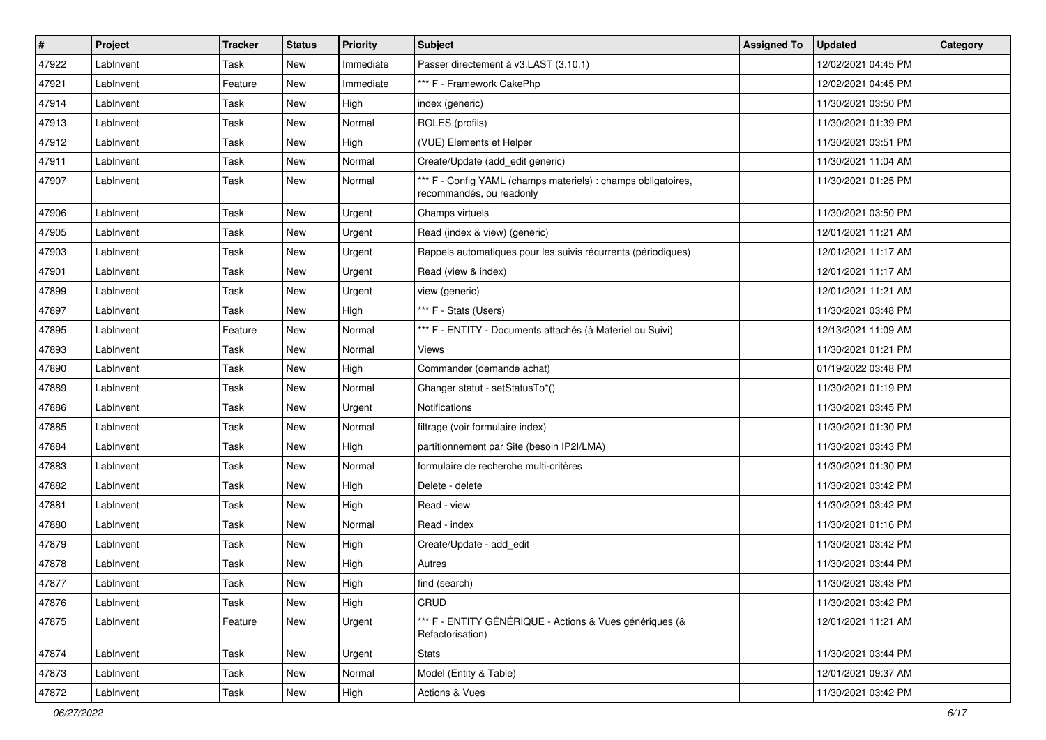| #     | Project   | <b>Tracker</b> | <b>Status</b> | <b>Priority</b> | <b>Subject</b>                                                                            | <b>Assigned To</b> | <b>Updated</b>      | Category |
|-------|-----------|----------------|---------------|-----------------|-------------------------------------------------------------------------------------------|--------------------|---------------------|----------|
| 47922 | LabInvent | Task           | <b>New</b>    | Immediate       | Passer directement à v3.LAST (3.10.1)                                                     |                    | 12/02/2021 04:45 PM |          |
| 47921 | LabInvent | Feature        | <b>New</b>    | Immediate       | *** F - Framework CakePhp                                                                 |                    | 12/02/2021 04:45 PM |          |
| 47914 | Lablnvent | Task           | <b>New</b>    | High            | index (generic)                                                                           |                    | 11/30/2021 03:50 PM |          |
| 47913 | Lablnvent | Task           | <b>New</b>    | Normal          | ROLES (profils)                                                                           |                    | 11/30/2021 01:39 PM |          |
| 47912 | Lablnvent | Task           | New           | High            | (VUE) Elements et Helper                                                                  |                    | 11/30/2021 03:51 PM |          |
| 47911 | LabInvent | Task           | New           | Normal          | Create/Update (add_edit generic)                                                          |                    | 11/30/2021 11:04 AM |          |
| 47907 | LabInvent | Task           | <b>New</b>    | Normal          | *** F - Config YAML (champs materiels) : champs obligatoires,<br>recommandés, ou readonly |                    | 11/30/2021 01:25 PM |          |
| 47906 | LabInvent | Task           | <b>New</b>    | Urgent          | Champs virtuels                                                                           |                    | 11/30/2021 03:50 PM |          |
| 47905 | LabInvent | Task           | <b>New</b>    | Urgent          | Read (index & view) (generic)                                                             |                    | 12/01/2021 11:21 AM |          |
| 47903 | Lablnvent | Task           | <b>New</b>    | Urgent          | Rappels automatiques pour les suivis récurrents (périodiques)                             |                    | 12/01/2021 11:17 AM |          |
| 47901 | Lablnvent | Task           | <b>New</b>    | Urgent          | Read (view & index)                                                                       |                    | 12/01/2021 11:17 AM |          |
| 47899 | Lablnvent | Task           | New           | Urgent          | view (generic)                                                                            |                    | 12/01/2021 11:21 AM |          |
| 47897 | LabInvent | Task           | New           | High            | *** F - Stats (Users)                                                                     |                    | 11/30/2021 03:48 PM |          |
| 47895 | LabInvent | Feature        | <b>New</b>    | Normal          | *** F - ENTITY - Documents attachés (à Materiel ou Suivi)                                 |                    | 12/13/2021 11:09 AM |          |
| 47893 | Lablnvent | Task           | <b>New</b>    | Normal          | <b>Views</b>                                                                              |                    | 11/30/2021 01:21 PM |          |
| 47890 | Lablnvent | Task           | <b>New</b>    | High            | Commander (demande achat)                                                                 |                    | 01/19/2022 03:48 PM |          |
| 47889 | Lablnvent | Task           | New           | Normal          | Changer statut - setStatusTo*()                                                           |                    | 11/30/2021 01:19 PM |          |
| 47886 | LabInvent | Task           | New           | Urgent          | Notifications                                                                             |                    | 11/30/2021 03:45 PM |          |
| 47885 | Lablnvent | Task           | <b>New</b>    | Normal          | filtrage (voir formulaire index)                                                          |                    | 11/30/2021 01:30 PM |          |
| 47884 | Lablnvent | Task           | <b>New</b>    | High            | partitionnement par Site (besoin IP2I/LMA)                                                |                    | 11/30/2021 03:43 PM |          |
| 47883 | Lablnvent | Task           | New           | Normal          | formulaire de recherche multi-critères                                                    |                    | 11/30/2021 01:30 PM |          |
| 47882 | LabInvent | Task           | <b>New</b>    | High            | Delete - delete                                                                           |                    | 11/30/2021 03:42 PM |          |
| 47881 | LabInvent | Task           | <b>New</b>    | High            | Read - view                                                                               |                    | 11/30/2021 03:42 PM |          |
| 47880 | Lablnvent | Task           | <b>New</b>    | Normal          | Read - index                                                                              |                    | 11/30/2021 01:16 PM |          |
| 47879 | Lablnvent | Task           | <b>New</b>    | High            | Create/Update - add_edit                                                                  |                    | 11/30/2021 03:42 PM |          |
| 47878 | LabInvent | Task           | <b>New</b>    | High            | Autres                                                                                    |                    | 11/30/2021 03:44 PM |          |
| 47877 | LabInvent | Task           | <b>New</b>    | High            | find (search)                                                                             |                    | 11/30/2021 03:43 PM |          |
| 47876 | LabInvent | Task           | New           | High            | CRUD                                                                                      |                    | 11/30/2021 03:42 PM |          |
| 47875 | LabInvent | Feature        | New           | Urgent          | *** F - ENTITY GÉNÉRIQUE - Actions & Vues génériques (&<br>Refactorisation)               |                    | 12/01/2021 11:21 AM |          |
| 47874 | LabInvent | Task           | <b>New</b>    | Urgent          | Stats                                                                                     |                    | 11/30/2021 03:44 PM |          |
| 47873 | LabInvent | Task           | New           | Normal          | Model (Entity & Table)                                                                    |                    | 12/01/2021 09:37 AM |          |
| 47872 | Lablnvent | Task           | New           | High            | Actions & Vues                                                                            |                    | 11/30/2021 03:42 PM |          |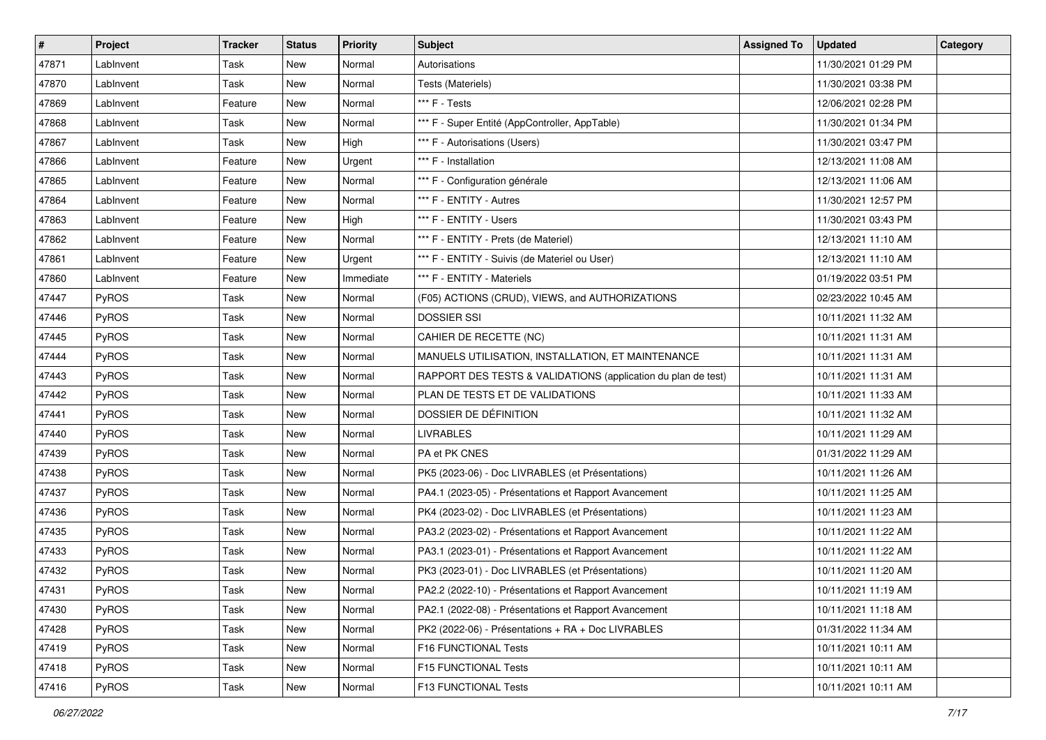| #     | Project      | <b>Tracker</b> | <b>Status</b> | <b>Priority</b> | <b>Subject</b>                                                | <b>Assigned To</b> | <b>Updated</b>      | Category |
|-------|--------------|----------------|---------------|-----------------|---------------------------------------------------------------|--------------------|---------------------|----------|
| 47871 | Lablnvent    | Task           | New           | Normal          | Autorisations                                                 |                    | 11/30/2021 01:29 PM |          |
| 47870 | LabInvent    | Task           | New           | Normal          | Tests (Materiels)                                             |                    | 11/30/2021 03:38 PM |          |
| 47869 | Lablnvent    | Feature        | New           | Normal          | *** F - Tests                                                 |                    | 12/06/2021 02:28 PM |          |
| 47868 | Lablnvent    | Task           | New           | Normal          | *** F - Super Entité (AppController, AppTable)                |                    | 11/30/2021 01:34 PM |          |
| 47867 | Lablnvent    | Task           | <b>New</b>    | High            | *** F - Autorisations (Users)                                 |                    | 11/30/2021 03:47 PM |          |
| 47866 | LabInvent    | Feature        | New           | Urgent          | *** F - Installation                                          |                    | 12/13/2021 11:08 AM |          |
| 47865 | LabInvent    | Feature        | New           | Normal          | *** F - Configuration générale                                |                    | 12/13/2021 11:06 AM |          |
| 47864 | LabInvent    | Feature        | New           | Normal          | *** F - ENTITY - Autres                                       |                    | 11/30/2021 12:57 PM |          |
| 47863 | Lablnvent    | Feature        | New           | High            | *** F - ENTITY - Users                                        |                    | 11/30/2021 03:43 PM |          |
| 47862 | Lablnvent    | Feature        | <b>New</b>    | Normal          | *** F - ENTITY - Prets (de Materiel)                          |                    | 12/13/2021 11:10 AM |          |
| 47861 | LabInvent    | Feature        | New           | Urgent          | *** F - ENTITY - Suivis (de Materiel ou User)                 |                    | 12/13/2021 11:10 AM |          |
| 47860 | Lablnvent    | Feature        | New           | Immediate       | *** F - ENTITY - Materiels                                    |                    | 01/19/2022 03:51 PM |          |
| 47447 | PyROS        | Task           | New           | Normal          | (F05) ACTIONS (CRUD), VIEWS, and AUTHORIZATIONS               |                    | 02/23/2022 10:45 AM |          |
| 47446 | PyROS        | Task           | New           | Normal          | <b>DOSSIER SSI</b>                                            |                    | 10/11/2021 11:32 AM |          |
| 47445 | PyROS        | Task           | New           | Normal          | CAHIER DE RECETTE (NC)                                        |                    | 10/11/2021 11:31 AM |          |
| 47444 | PyROS        | Task           | New           | Normal          | MANUELS UTILISATION, INSTALLATION, ET MAINTENANCE             |                    | 10/11/2021 11:31 AM |          |
| 47443 | PyROS        | Task           | New           | Normal          | RAPPORT DES TESTS & VALIDATIONS (application du plan de test) |                    | 10/11/2021 11:31 AM |          |
| 47442 | PyROS        | Task           | <b>New</b>    | Normal          | PLAN DE TESTS ET DE VALIDATIONS                               |                    | 10/11/2021 11:33 AM |          |
| 47441 | PyROS        | Task           | New           | Normal          | DOSSIER DE DÉFINITION                                         |                    | 10/11/2021 11:32 AM |          |
| 47440 | PyROS        | Task           | New           | Normal          | <b>LIVRABLES</b>                                              |                    | 10/11/2021 11:29 AM |          |
| 47439 | PyROS        | Task           | New           | Normal          | PA et PK CNES                                                 |                    | 01/31/2022 11:29 AM |          |
| 47438 | PyROS        | Task           | New           | Normal          | PK5 (2023-06) - Doc LIVRABLES (et Présentations)              |                    | 10/11/2021 11:26 AM |          |
| 47437 | PyROS        | Task           | <b>New</b>    | Normal          | PA4.1 (2023-05) - Présentations et Rapport Avancement         |                    | 10/11/2021 11:25 AM |          |
| 47436 | PyROS        | Task           | New           | Normal          | PK4 (2023-02) - Doc LIVRABLES (et Présentations)              |                    | 10/11/2021 11:23 AM |          |
| 47435 | PyROS        | Task           | New           | Normal          | PA3.2 (2023-02) - Présentations et Rapport Avancement         |                    | 10/11/2021 11:22 AM |          |
| 47433 | PyROS        | Task           | New           | Normal          | PA3.1 (2023-01) - Présentations et Rapport Avancement         |                    | 10/11/2021 11:22 AM |          |
| 47432 | PyROS        | Task           | <b>New</b>    | Normal          | PK3 (2023-01) - Doc LIVRABLES (et Présentations)              |                    | 10/11/2021 11:20 AM |          |
| 47431 | PyROS        | Task           | New           | Normal          | PA2.2 (2022-10) - Présentations et Rapport Avancement         |                    | 10/11/2021 11:19 AM |          |
| 47430 | <b>PyROS</b> | Task           | New           | Normal          | PA2.1 (2022-08) - Présentations et Rapport Avancement         |                    | 10/11/2021 11:18 AM |          |
| 47428 | PyROS        | Task           | New           | Normal          | PK2 (2022-06) - Présentations + RA + Doc LIVRABLES            |                    | 01/31/2022 11:34 AM |          |
| 47419 | PyROS        | Task           | New           | Normal          | F16 FUNCTIONAL Tests                                          |                    | 10/11/2021 10:11 AM |          |
| 47418 | PyROS        | Task           | New           | Normal          | F15 FUNCTIONAL Tests                                          |                    | 10/11/2021 10:11 AM |          |
| 47416 | PyROS        | Task           | New           | Normal          | F13 FUNCTIONAL Tests                                          |                    | 10/11/2021 10:11 AM |          |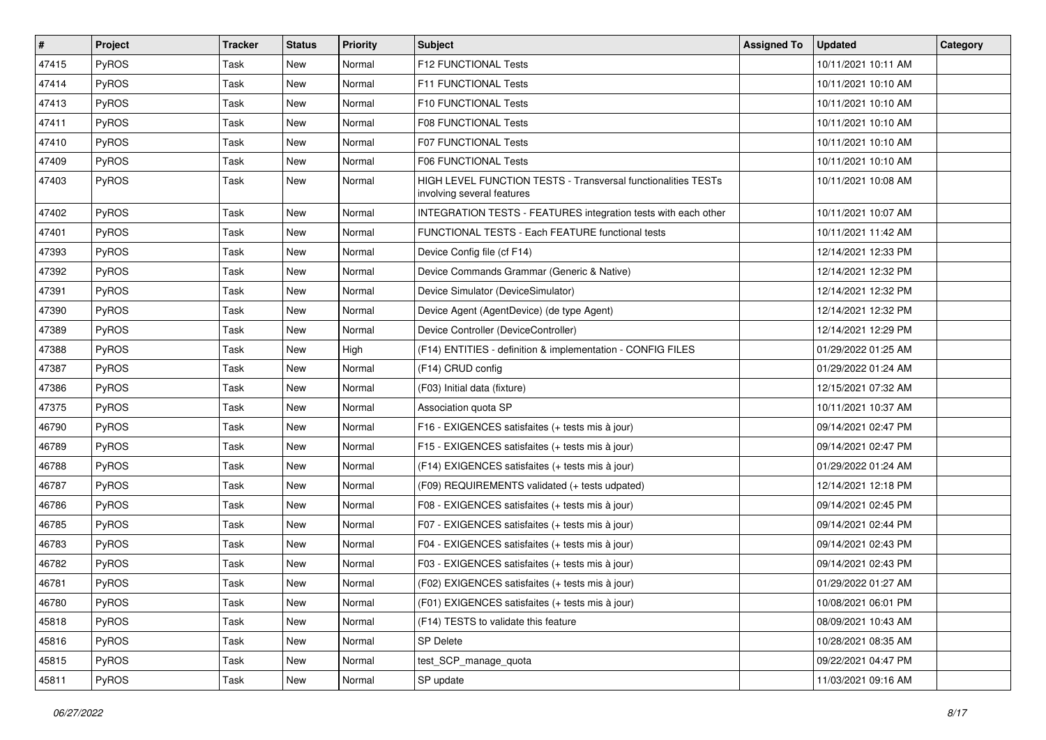| $\vert$ # | Project      | <b>Tracker</b> | <b>Status</b> | <b>Priority</b> | <b>Subject</b>                                                                                     | <b>Assigned To</b> | <b>Updated</b>      | Category |
|-----------|--------------|----------------|---------------|-----------------|----------------------------------------------------------------------------------------------------|--------------------|---------------------|----------|
| 47415     | <b>PyROS</b> | Task           | New           | Normal          | F12 FUNCTIONAL Tests                                                                               |                    | 10/11/2021 10:11 AM |          |
| 47414     | PyROS        | Task           | New           | Normal          | F11 FUNCTIONAL Tests                                                                               |                    | 10/11/2021 10:10 AM |          |
| 47413     | <b>PyROS</b> | Task           | New           | Normal          | F10 FUNCTIONAL Tests                                                                               |                    | 10/11/2021 10:10 AM |          |
| 47411     | PyROS        | Task           | New           | Normal          | F08 FUNCTIONAL Tests                                                                               |                    | 10/11/2021 10:10 AM |          |
| 47410     | PyROS        | Task           | New           | Normal          | <b>F07 FUNCTIONAL Tests</b>                                                                        |                    | 10/11/2021 10:10 AM |          |
| 47409     | <b>PyROS</b> | Task           | New           | Normal          | F06 FUNCTIONAL Tests                                                                               |                    | 10/11/2021 10:10 AM |          |
| 47403     | PyROS        | Task           | New           | Normal          | <b>HIGH LEVEL FUNCTION TESTS - Transversal functionalities TESTs</b><br>involving several features |                    | 10/11/2021 10:08 AM |          |
| 47402     | PyROS        | Task           | New           | Normal          | INTEGRATION TESTS - FEATURES integration tests with each other                                     |                    | 10/11/2021 10:07 AM |          |
| 47401     | PyROS        | Task           | New           | Normal          | FUNCTIONAL TESTS - Each FEATURE functional tests                                                   |                    | 10/11/2021 11:42 AM |          |
| 47393     | <b>PyROS</b> | Task           | New           | Normal          | Device Config file (cf F14)                                                                        |                    | 12/14/2021 12:33 PM |          |
| 47392     | PyROS        | Task           | New           | Normal          | Device Commands Grammar (Generic & Native)                                                         |                    | 12/14/2021 12:32 PM |          |
| 47391     | PyROS        | Task           | New           | Normal          | Device Simulator (DeviceSimulator)                                                                 |                    | 12/14/2021 12:32 PM |          |
| 47390     | PyROS        | Task           | New           | Normal          | Device Agent (AgentDevice) (de type Agent)                                                         |                    | 12/14/2021 12:32 PM |          |
| 47389     | PyROS        | Task           | New           | Normal          | Device Controller (DeviceController)                                                               |                    | 12/14/2021 12:29 PM |          |
| 47388     | PyROS        | Task           | New           | High            | (F14) ENTITIES - definition & implementation - CONFIG FILES                                        |                    | 01/29/2022 01:25 AM |          |
| 47387     | PyROS        | Task           | New           | Normal          | (F14) CRUD config                                                                                  |                    | 01/29/2022 01:24 AM |          |
| 47386     | PyROS        | Task           | New           | Normal          | (F03) Initial data (fixture)                                                                       |                    | 12/15/2021 07:32 AM |          |
| 47375     | <b>PyROS</b> | Task           | New           | Normal          | Association quota SP                                                                               |                    | 10/11/2021 10:37 AM |          |
| 46790     | PyROS        | Task           | New           | Normal          | F16 - EXIGENCES satisfaites (+ tests mis à jour)                                                   |                    | 09/14/2021 02:47 PM |          |
| 46789     | PyROS        | Task           | New           | Normal          | F15 - EXIGENCES satisfaites (+ tests mis à jour)                                                   |                    | 09/14/2021 02:47 PM |          |
| 46788     | PyROS        | Task           | New           | Normal          | (F14) EXIGENCES satisfaites (+ tests mis à jour)                                                   |                    | 01/29/2022 01:24 AM |          |
| 46787     | PyROS        | Task           | New           | Normal          | (F09) REQUIREMENTS validated (+ tests udpated)                                                     |                    | 12/14/2021 12:18 PM |          |
| 46786     | <b>PyROS</b> | Task           | New           | Normal          | F08 - EXIGENCES satisfaites (+ tests mis à jour)                                                   |                    | 09/14/2021 02:45 PM |          |
| 46785     | PyROS        | Task           | New           | Normal          | F07 - EXIGENCES satisfaites (+ tests mis à jour)                                                   |                    | 09/14/2021 02:44 PM |          |
| 46783     | PyROS        | Task           | New           | Normal          | F04 - EXIGENCES satisfaites (+ tests mis à jour)                                                   |                    | 09/14/2021 02:43 PM |          |
| 46782     | <b>PyROS</b> | Task           | New           | Normal          | F03 - EXIGENCES satisfaites (+ tests mis à jour)                                                   |                    | 09/14/2021 02:43 PM |          |
| 46781     | PyROS        | Task           | New           | Normal          | (F02) EXIGENCES satisfaites (+ tests mis à jour)                                                   |                    | 01/29/2022 01:27 AM |          |
| 46780     | <b>PyROS</b> | Task           | New           | Normal          | (F01) EXIGENCES satisfaites (+ tests mis à jour)                                                   |                    | 10/08/2021 06:01 PM |          |
| 45818     | PyROS        | Task           | New           | Normal          | (F14) TESTS to validate this feature                                                               |                    | 08/09/2021 10:43 AM |          |
| 45816     | PyROS        | Task           | New           | Normal          | <b>SP Delete</b>                                                                                   |                    | 10/28/2021 08:35 AM |          |
| 45815     | <b>PyROS</b> | Task           | New           | Normal          | test_SCP_manage_quota                                                                              |                    | 09/22/2021 04:47 PM |          |
| 45811     | PyROS        | Task           | New           | Normal          | SP update                                                                                          |                    | 11/03/2021 09:16 AM |          |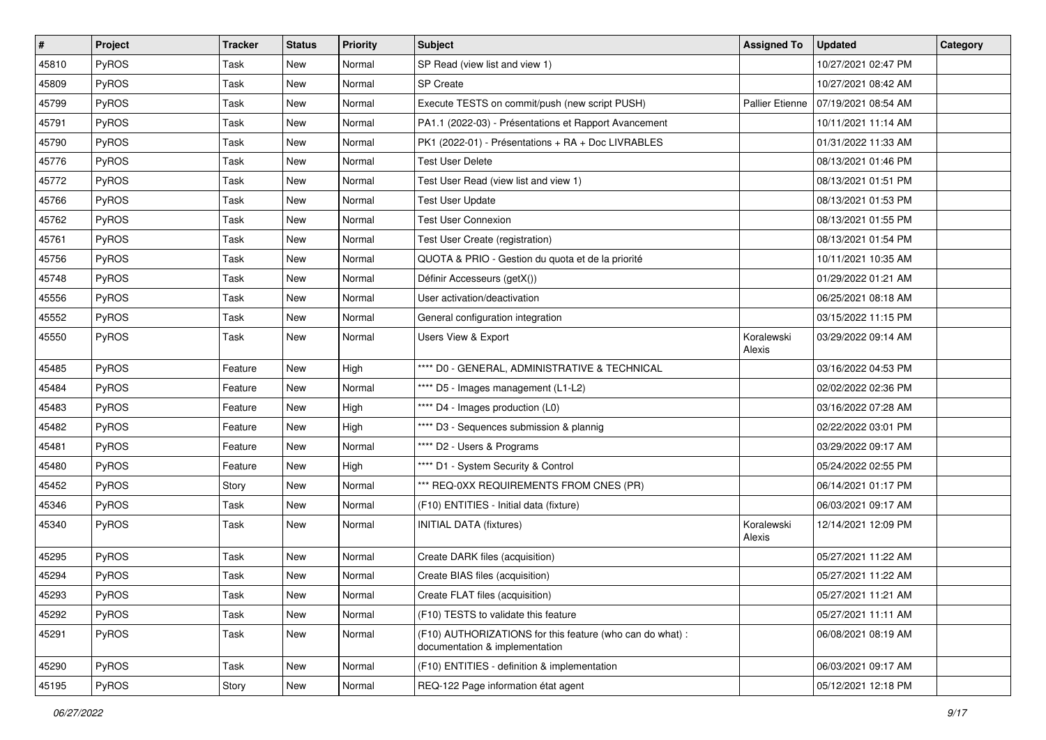| $\sharp$ | Project      | <b>Tracker</b> | <b>Status</b> | <b>Priority</b> | <b>Subject</b>                                                                              | <b>Assigned To</b>   | <b>Updated</b>      | Category |
|----------|--------------|----------------|---------------|-----------------|---------------------------------------------------------------------------------------------|----------------------|---------------------|----------|
| 45810    | <b>PyROS</b> | Task           | New           | Normal          | SP Read (view list and view 1)                                                              |                      | 10/27/2021 02:47 PM |          |
| 45809    | PyROS        | Task           | <b>New</b>    | Normal          | SP Create                                                                                   |                      | 10/27/2021 08:42 AM |          |
| 45799    | PyROS        | Task           | <b>New</b>    | Normal          | Execute TESTS on commit/push (new script PUSH)                                              | Pallier Etienne      | 07/19/2021 08:54 AM |          |
| 45791    | PyROS        | Task           | <b>New</b>    | Normal          | PA1.1 (2022-03) - Présentations et Rapport Avancement                                       |                      | 10/11/2021 11:14 AM |          |
| 45790    | PyROS        | Task           | New           | Normal          | PK1 (2022-01) - Présentations + RA + Doc LIVRABLES                                          |                      | 01/31/2022 11:33 AM |          |
| 45776    | PyROS        | Task           | New           | Normal          | <b>Test User Delete</b>                                                                     |                      | 08/13/2021 01:46 PM |          |
| 45772    | PyROS        | Task           | <b>New</b>    | Normal          | Test User Read (view list and view 1)                                                       |                      | 08/13/2021 01:51 PM |          |
| 45766    | PyROS        | Task           | New           | Normal          | <b>Test User Update</b>                                                                     |                      | 08/13/2021 01:53 PM |          |
| 45762    | PyROS        | Task           | <b>New</b>    | Normal          | <b>Test User Connexion</b>                                                                  |                      | 08/13/2021 01:55 PM |          |
| 45761    | PyROS        | Task           | New           | Normal          | Test User Create (registration)                                                             |                      | 08/13/2021 01:54 PM |          |
| 45756    | PyROS        | Task           | <b>New</b>    | Normal          | QUOTA & PRIO - Gestion du quota et de la priorité                                           |                      | 10/11/2021 10:35 AM |          |
| 45748    | PyROS        | Task           | <b>New</b>    | Normal          | Définir Accesseurs (getX())                                                                 |                      | 01/29/2022 01:21 AM |          |
| 45556    | PyROS        | Task           | <b>New</b>    | Normal          | User activation/deactivation                                                                |                      | 06/25/2021 08:18 AM |          |
| 45552    | PyROS        | Task           | <b>New</b>    | Normal          | General configuration integration                                                           |                      | 03/15/2022 11:15 PM |          |
| 45550    | PyROS        | Task           | <b>New</b>    | Normal          | Users View & Export                                                                         | Koralewski<br>Alexis | 03/29/2022 09:14 AM |          |
| 45485    | PyROS        | Feature        | New           | High            | **** D0 - GENERAL, ADMINISTRATIVE & TECHNICAL                                               |                      | 03/16/2022 04:53 PM |          |
| 45484    | PyROS        | Feature        | New           | Normal          | **** D5 - Images management (L1-L2)                                                         |                      | 02/02/2022 02:36 PM |          |
| 45483    | PyROS        | Feature        | New           | High            | **** D4 - Images production (L0)                                                            |                      | 03/16/2022 07:28 AM |          |
| 45482    | PyROS        | Feature        | <b>New</b>    | High            | **** D3 - Sequences submission & plannig                                                    |                      | 02/22/2022 03:01 PM |          |
| 45481    | PyROS        | Feature        | <b>New</b>    | Normal          | **** D2 - Users & Programs                                                                  |                      | 03/29/2022 09:17 AM |          |
| 45480    | PyROS        | Feature        | <b>New</b>    | High            | **** D1 - System Security & Control                                                         |                      | 05/24/2022 02:55 PM |          |
| 45452    | PyROS        | Story          | New           | Normal          | *** REQ-0XX REQUIREMENTS FROM CNES (PR)                                                     |                      | 06/14/2021 01:17 PM |          |
| 45346    | PyROS        | Task           | New           | Normal          | (F10) ENTITIES - Initial data (fixture)                                                     |                      | 06/03/2021 09:17 AM |          |
| 45340    | PyROS        | Task           | New           | Normal          | <b>INITIAL DATA (fixtures)</b>                                                              | Koralewski<br>Alexis | 12/14/2021 12:09 PM |          |
| 45295    | PyROS        | Task           | <b>New</b>    | Normal          | Create DARK files (acquisition)                                                             |                      | 05/27/2021 11:22 AM |          |
| 45294    | PyROS        | Task           | New           | Normal          | Create BIAS files (acquisition)                                                             |                      | 05/27/2021 11:22 AM |          |
| 45293    | PyROS        | Task           | New           | Normal          | Create FLAT files (acquisition)                                                             |                      | 05/27/2021 11:21 AM |          |
| 45292    | PyROS        | Task           | <b>New</b>    | Normal          | (F10) TESTS to validate this feature                                                        |                      | 05/27/2021 11:11 AM |          |
| 45291    | PyROS        | Task           | New           | Normal          | (F10) AUTHORIZATIONS for this feature (who can do what) :<br>documentation & implementation |                      | 06/08/2021 08:19 AM |          |
| 45290    | PyROS        | Task           | New           | Normal          | (F10) ENTITIES - definition & implementation                                                |                      | 06/03/2021 09:17 AM |          |
| 45195    | PyROS        | Story          | New           | Normal          | REQ-122 Page information état agent                                                         |                      | 05/12/2021 12:18 PM |          |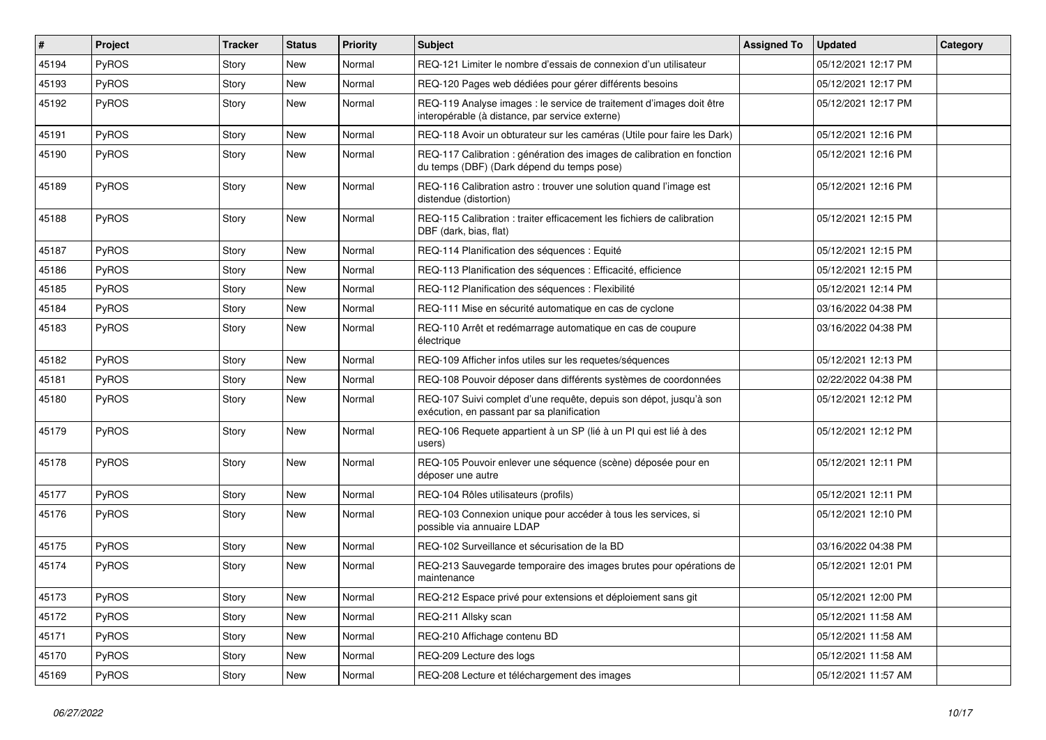| $\vert$ # | Project | <b>Tracker</b> | <b>Status</b> | <b>Priority</b> | Subject                                                                                                                 | <b>Assigned To</b> | <b>Updated</b>      | Category |
|-----------|---------|----------------|---------------|-----------------|-------------------------------------------------------------------------------------------------------------------------|--------------------|---------------------|----------|
| 45194     | PyROS   | Story          | New           | Normal          | REQ-121 Limiter le nombre d'essais de connexion d'un utilisateur                                                        |                    | 05/12/2021 12:17 PM |          |
| 45193     | PyROS   | Story          | New           | Normal          | REQ-120 Pages web dédiées pour gérer différents besoins                                                                 |                    | 05/12/2021 12:17 PM |          |
| 45192     | PyROS   | Story          | New           | Normal          | REQ-119 Analyse images : le service de traitement d'images doit être<br>interopérable (à distance, par service externe) |                    | 05/12/2021 12:17 PM |          |
| 45191     | PyROS   | Story          | New           | Normal          | REQ-118 Avoir un obturateur sur les caméras (Utile pour faire les Dark)                                                 |                    | 05/12/2021 12:16 PM |          |
| 45190     | PyROS   | Story          | New           | Normal          | REQ-117 Calibration : génération des images de calibration en fonction<br>du temps (DBF) (Dark dépend du temps pose)    |                    | 05/12/2021 12:16 PM |          |
| 45189     | PyROS   | Story          | New           | Normal          | REQ-116 Calibration astro: trouver une solution quand l'image est<br>distendue (distortion)                             |                    | 05/12/2021 12:16 PM |          |
| 45188     | PyROS   | Story          | New           | Normal          | REQ-115 Calibration: traiter efficacement les fichiers de calibration<br>DBF (dark, bias, flat)                         |                    | 05/12/2021 12:15 PM |          |
| 45187     | PyROS   | Story          | New           | Normal          | REQ-114 Planification des séquences : Equité                                                                            |                    | 05/12/2021 12:15 PM |          |
| 45186     | PyROS   | Story          | New           | Normal          | REQ-113 Planification des séquences : Efficacité, efficience                                                            |                    | 05/12/2021 12:15 PM |          |
| 45185     | PyROS   | Story          | New           | Normal          | REQ-112 Planification des séquences : Flexibilité                                                                       |                    | 05/12/2021 12:14 PM |          |
| 45184     | PyROS   | Story          | New           | Normal          | REQ-111 Mise en sécurité automatique en cas de cyclone                                                                  |                    | 03/16/2022 04:38 PM |          |
| 45183     | PyROS   | Story          | New           | Normal          | REQ-110 Arrêt et redémarrage automatique en cas de coupure<br>électrique                                                |                    | 03/16/2022 04:38 PM |          |
| 45182     | PyROS   | Story          | <b>New</b>    | Normal          | REQ-109 Afficher infos utiles sur les requetes/séquences                                                                |                    | 05/12/2021 12:13 PM |          |
| 45181     | PyROS   | Story          | New           | Normal          | REQ-108 Pouvoir déposer dans différents systèmes de coordonnées                                                         |                    | 02/22/2022 04:38 PM |          |
| 45180     | PyROS   | Story          | New           | Normal          | REQ-107 Suivi complet d'une requête, depuis son dépot, jusqu'à son<br>exécution, en passant par sa planification        |                    | 05/12/2021 12:12 PM |          |
| 45179     | PyROS   | Story          | <b>New</b>    | Normal          | REQ-106 Requete appartient à un SP (lié à un PI qui est lié à des<br>users)                                             |                    | 05/12/2021 12:12 PM |          |
| 45178     | PyROS   | Story          | <b>New</b>    | Normal          | REQ-105 Pouvoir enlever une séquence (scène) déposée pour en<br>déposer une autre                                       |                    | 05/12/2021 12:11 PM |          |
| 45177     | PyROS   | Story          | New           | Normal          | REQ-104 Rôles utilisateurs (profils)                                                                                    |                    | 05/12/2021 12:11 PM |          |
| 45176     | PyROS   | Story          | New           | Normal          | REQ-103 Connexion unique pour accéder à tous les services, si<br>possible via annuaire LDAP                             |                    | 05/12/2021 12:10 PM |          |
| 45175     | PyROS   | Story          | New           | Normal          | REQ-102 Surveillance et sécurisation de la BD                                                                           |                    | 03/16/2022 04:38 PM |          |
| 45174     | PyROS   | Story          | New           | Normal          | REQ-213 Sauvegarde temporaire des images brutes pour opérations de<br>maintenance                                       |                    | 05/12/2021 12:01 PM |          |
| 45173     | PyROS   | Story          | New           | Normal          | REQ-212 Espace privé pour extensions et déploiement sans git                                                            |                    | 05/12/2021 12:00 PM |          |
| 45172     | PyROS   | Story          | New           | Normal          | REQ-211 Allsky scan                                                                                                     |                    | 05/12/2021 11:58 AM |          |
| 45171     | PyROS   | Story          | New           | Normal          | REQ-210 Affichage contenu BD                                                                                            |                    | 05/12/2021 11:58 AM |          |
| 45170     | PyROS   | Story          | New           | Normal          | REQ-209 Lecture des logs                                                                                                |                    | 05/12/2021 11:58 AM |          |
| 45169     | PyROS   | Story          | New           | Normal          | REQ-208 Lecture et téléchargement des images                                                                            |                    | 05/12/2021 11:57 AM |          |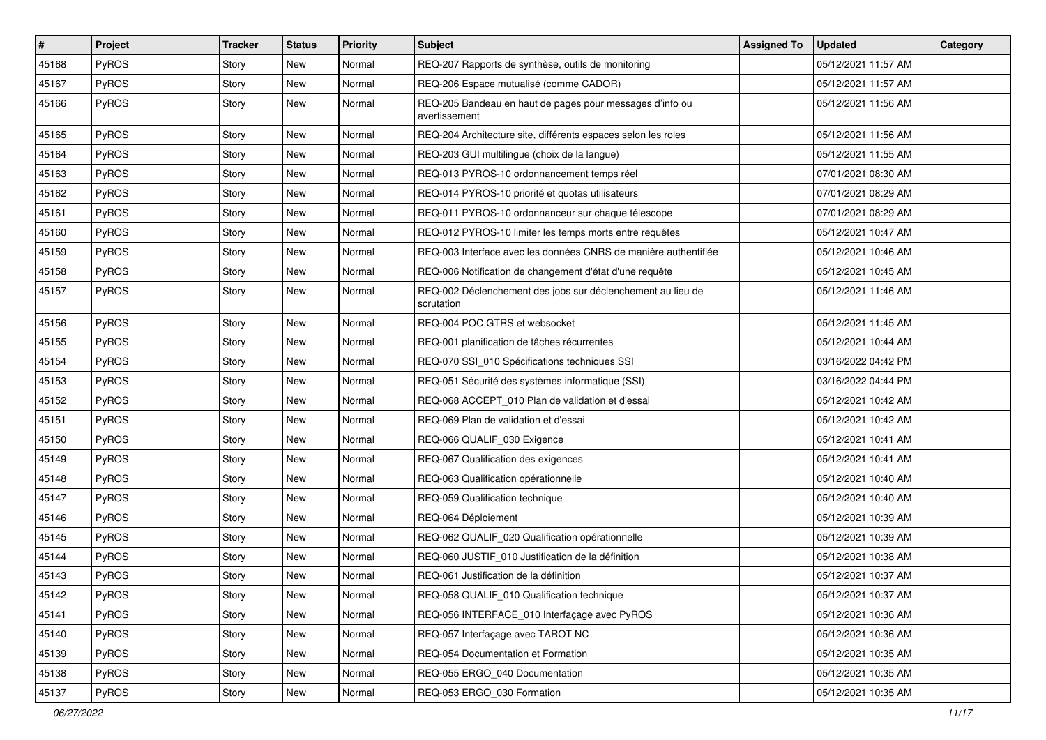| $\vert$ # | Project | <b>Tracker</b> | <b>Status</b> | <b>Priority</b> | Subject                                                                   | <b>Assigned To</b> | <b>Updated</b>      | Category |
|-----------|---------|----------------|---------------|-----------------|---------------------------------------------------------------------------|--------------------|---------------------|----------|
| 45168     | PyROS   | Story          | New           | Normal          | REQ-207 Rapports de synthèse, outils de monitoring                        |                    | 05/12/2021 11:57 AM |          |
| 45167     | PyROS   | Story          | <b>New</b>    | Normal          | REQ-206 Espace mutualisé (comme CADOR)                                    |                    | 05/12/2021 11:57 AM |          |
| 45166     | PyROS   | Story          | New           | Normal          | REQ-205 Bandeau en haut de pages pour messages d'info ou<br>avertissement |                    | 05/12/2021 11:56 AM |          |
| 45165     | PyROS   | Story          | <b>New</b>    | Normal          | REQ-204 Architecture site, différents espaces selon les roles             |                    | 05/12/2021 11:56 AM |          |
| 45164     | PyROS   | Story          | New           | Normal          | REQ-203 GUI multilingue (choix de la langue)                              |                    | 05/12/2021 11:55 AM |          |
| 45163     | PyROS   | Story          | New           | Normal          | REQ-013 PYROS-10 ordonnancement temps réel                                |                    | 07/01/2021 08:30 AM |          |
| 45162     | PyROS   | Story          | New           | Normal          | REQ-014 PYROS-10 priorité et quotas utilisateurs                          |                    | 07/01/2021 08:29 AM |          |
| 45161     | PyROS   | Story          | <b>New</b>    | Normal          | REQ-011 PYROS-10 ordonnanceur sur chaque télescope                        |                    | 07/01/2021 08:29 AM |          |
| 45160     | PyROS   | Story          | <b>New</b>    | Normal          | REQ-012 PYROS-10 limiter les temps morts entre requêtes                   |                    | 05/12/2021 10:47 AM |          |
| 45159     | PyROS   | Story          | New           | Normal          | REQ-003 Interface avec les données CNRS de manière authentifiée           |                    | 05/12/2021 10:46 AM |          |
| 45158     | PyROS   | Story          | New           | Normal          | REQ-006 Notification de changement d'état d'une requête                   |                    | 05/12/2021 10:45 AM |          |
| 45157     | PyROS   | Story          | <b>New</b>    | Normal          | REQ-002 Déclenchement des jobs sur déclenchement au lieu de<br>scrutation |                    | 05/12/2021 11:46 AM |          |
| 45156     | PyROS   | Story          | <b>New</b>    | Normal          | REQ-004 POC GTRS et websocket                                             |                    | 05/12/2021 11:45 AM |          |
| 45155     | PyROS   | Story          | New           | Normal          | REQ-001 planification de tâches récurrentes                               |                    | 05/12/2021 10:44 AM |          |
| 45154     | PyROS   | Story          | New           | Normal          | REQ-070 SSI_010 Spécifications techniques SSI                             |                    | 03/16/2022 04:42 PM |          |
| 45153     | PyROS   | Story          | <b>New</b>    | Normal          | REQ-051 Sécurité des systèmes informatique (SSI)                          |                    | 03/16/2022 04:44 PM |          |
| 45152     | PyROS   | Story          | New           | Normal          | REQ-068 ACCEPT_010 Plan de validation et d'essai                          |                    | 05/12/2021 10:42 AM |          |
| 45151     | PyROS   | Story          | <b>New</b>    | Normal          | REQ-069 Plan de validation et d'essai                                     |                    | 05/12/2021 10:42 AM |          |
| 45150     | PyROS   | Story          | <b>New</b>    | Normal          | REQ-066 QUALIF_030 Exigence                                               |                    | 05/12/2021 10:41 AM |          |
| 45149     | PyROS   | Story          | <b>New</b>    | Normal          | REQ-067 Qualification des exigences                                       |                    | 05/12/2021 10:41 AM |          |
| 45148     | PyROS   | Story          | <b>New</b>    | Normal          | REQ-063 Qualification opérationnelle                                      |                    | 05/12/2021 10:40 AM |          |
| 45147     | PyROS   | Story          | New           | Normal          | REQ-059 Qualification technique                                           |                    | 05/12/2021 10:40 AM |          |
| 45146     | PyROS   | Story          | New           | Normal          | REQ-064 Déploiement                                                       |                    | 05/12/2021 10:39 AM |          |
| 45145     | PyROS   | Story          | <b>New</b>    | Normal          | REQ-062 QUALIF_020 Qualification opérationnelle                           |                    | 05/12/2021 10:39 AM |          |
| 45144     | PyROS   | Story          | <b>New</b>    | Normal          | REQ-060 JUSTIF_010 Justification de la définition                         |                    | 05/12/2021 10:38 AM |          |
| 45143     | PyROS   | Story          | New           | Normal          | REQ-061 Justification de la définition                                    |                    | 05/12/2021 10:37 AM |          |
| 45142     | PyROS   | Story          | New           | Normal          | REQ-058 QUALIF_010 Qualification technique                                |                    | 05/12/2021 10:37 AM |          |
| 45141     | PyROS   | Story          | <b>New</b>    | Normal          | REQ-056 INTERFACE_010 Interfaçage avec PyROS                              |                    | 05/12/2021 10:36 AM |          |
| 45140     | PyROS   | Story          | New           | Normal          | REQ-057 Interfaçage avec TAROT NC                                         |                    | 05/12/2021 10:36 AM |          |
| 45139     | PyROS   | Story          | New           | Normal          | REQ-054 Documentation et Formation                                        |                    | 05/12/2021 10:35 AM |          |
| 45138     | PyROS   | Story          | New           | Normal          | REQ-055 ERGO_040 Documentation                                            |                    | 05/12/2021 10:35 AM |          |
| 45137     | PyROS   | Story          | New           | Normal          | REQ-053 ERGO_030 Formation                                                |                    | 05/12/2021 10:35 AM |          |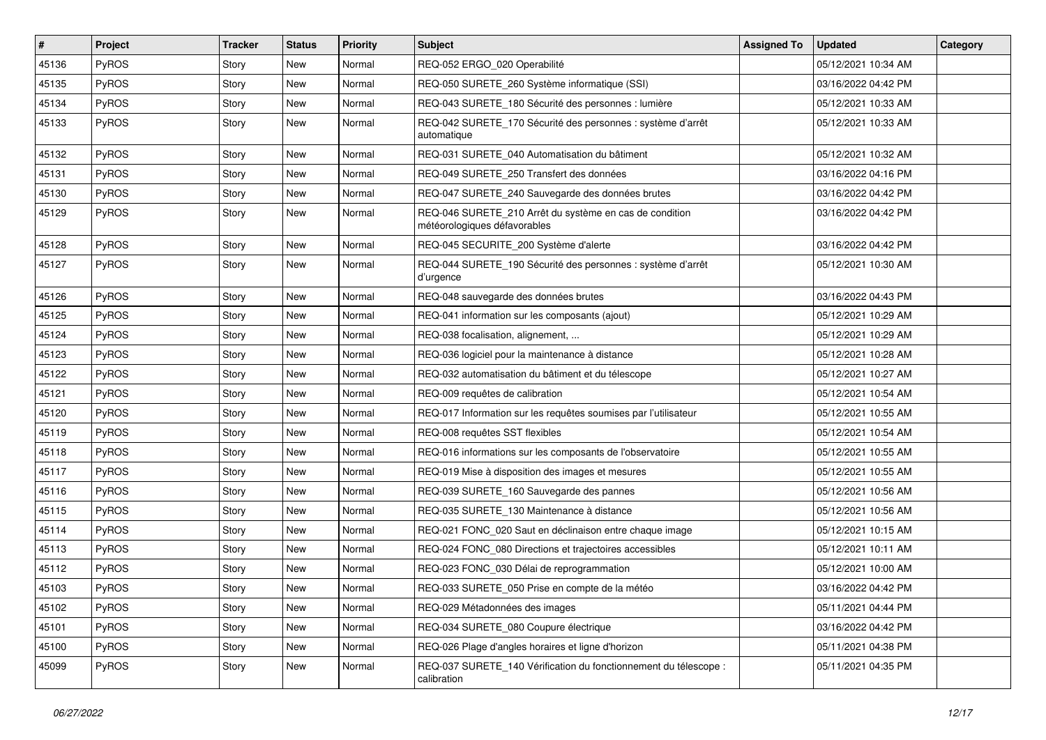| $\vert$ # | Project      | <b>Tracker</b> | <b>Status</b> | <b>Priority</b> | Subject                                                                                 | <b>Assigned To</b> | <b>Updated</b>      | Category |
|-----------|--------------|----------------|---------------|-----------------|-----------------------------------------------------------------------------------------|--------------------|---------------------|----------|
| 45136     | PyROS        | Story          | <b>New</b>    | Normal          | REQ-052 ERGO_020 Operabilité                                                            |                    | 05/12/2021 10:34 AM |          |
| 45135     | PyROS        | Story          | <b>New</b>    | Normal          | REQ-050 SURETE_260 Système informatique (SSI)                                           |                    | 03/16/2022 04:42 PM |          |
| 45134     | <b>PyROS</b> | Story          | <b>New</b>    | Normal          | REQ-043 SURETE 180 Sécurité des personnes : lumière                                     |                    | 05/12/2021 10:33 AM |          |
| 45133     | PyROS        | Story          | New           | Normal          | REQ-042 SURETE_170 Sécurité des personnes : système d'arrêt<br>automatique              |                    | 05/12/2021 10:33 AM |          |
| 45132     | <b>PyROS</b> | Story          | <b>New</b>    | Normal          | REQ-031 SURETE_040 Automatisation du bâtiment                                           |                    | 05/12/2021 10:32 AM |          |
| 45131     | PyROS        | Story          | New           | Normal          | REQ-049 SURETE_250 Transfert des données                                                |                    | 03/16/2022 04:16 PM |          |
| 45130     | PyROS        | Story          | New           | Normal          | REQ-047 SURETE_240 Sauvegarde des données brutes                                        |                    | 03/16/2022 04:42 PM |          |
| 45129     | PyROS        | Story          | New           | Normal          | REQ-046 SURETE_210 Arrêt du système en cas de condition<br>météorologiques défavorables |                    | 03/16/2022 04:42 PM |          |
| 45128     | PyROS        | Story          | <b>New</b>    | Normal          | REQ-045 SECURITE_200 Système d'alerte                                                   |                    | 03/16/2022 04:42 PM |          |
| 45127     | PyROS        | Story          | New           | Normal          | REQ-044 SURETE_190 Sécurité des personnes : système d'arrêt<br>d'urgence                |                    | 05/12/2021 10:30 AM |          |
| 45126     | <b>PyROS</b> | Story          | New           | Normal          | REQ-048 sauvegarde des données brutes                                                   |                    | 03/16/2022 04:43 PM |          |
| 45125     | PyROS        | Story          | <b>New</b>    | Normal          | REQ-041 information sur les composants (ajout)                                          |                    | 05/12/2021 10:29 AM |          |
| 45124     | PyROS        | Story          | New           | Normal          | REQ-038 focalisation, alignement,                                                       |                    | 05/12/2021 10:29 AM |          |
| 45123     | PyROS        | Story          | <b>New</b>    | Normal          | REQ-036 logiciel pour la maintenance à distance                                         |                    | 05/12/2021 10:28 AM |          |
| 45122     | PyROS        | Story          | <b>New</b>    | Normal          | REQ-032 automatisation du bâtiment et du télescope                                      |                    | 05/12/2021 10:27 AM |          |
| 45121     | PyROS        | Story          | New           | Normal          | REQ-009 requêtes de calibration                                                         |                    | 05/12/2021 10:54 AM |          |
| 45120     | PyROS        | Story          | <b>New</b>    | Normal          | REQ-017 Information sur les requêtes soumises par l'utilisateur                         |                    | 05/12/2021 10:55 AM |          |
| 45119     | <b>PyROS</b> | Story          | <b>New</b>    | Normal          | REQ-008 requêtes SST flexibles                                                          |                    | 05/12/2021 10:54 AM |          |
| 45118     | PyROS        | Story          | <b>New</b>    | Normal          | REQ-016 informations sur les composants de l'observatoire                               |                    | 05/12/2021 10:55 AM |          |
| 45117     | PyROS        | Story          | <b>New</b>    | Normal          | REQ-019 Mise à disposition des images et mesures                                        |                    | 05/12/2021 10:55 AM |          |
| 45116     | <b>PyROS</b> | Story          | New           | Normal          | REQ-039 SURETE_160 Sauvegarde des pannes                                                |                    | 05/12/2021 10:56 AM |          |
| 45115     | PyROS        | Story          | New           | Normal          | REQ-035 SURETE_130 Maintenance à distance                                               |                    | 05/12/2021 10:56 AM |          |
| 45114     | PyROS        | Story          | <b>New</b>    | Normal          | REQ-021 FONC_020 Saut en déclinaison entre chaque image                                 |                    | 05/12/2021 10:15 AM |          |
| 45113     | PyROS        | Story          | <b>New</b>    | Normal          | REQ-024 FONC 080 Directions et trajectoires accessibles                                 |                    | 05/12/2021 10:11 AM |          |
| 45112     | PyROS        | Story          | New           | Normal          | REQ-023 FONC_030 Délai de reprogrammation                                               |                    | 05/12/2021 10:00 AM |          |
| 45103     | PyROS        | Story          | New           | Normal          | REQ-033 SURETE_050 Prise en compte de la météo                                          |                    | 03/16/2022 04:42 PM |          |
| 45102     | PyROS        | Story          | New           | Normal          | REQ-029 Métadonnées des images                                                          |                    | 05/11/2021 04:44 PM |          |
| 45101     | PyROS        | Story          | New           | Normal          | REQ-034 SURETE 080 Coupure électrique                                                   |                    | 03/16/2022 04:42 PM |          |
| 45100     | PyROS        | Story          | New           | Normal          | REQ-026 Plage d'angles horaires et ligne d'horizon                                      |                    | 05/11/2021 04:38 PM |          |
| 45099     | PyROS        | Story          | New           | Normal          | REQ-037 SURETE 140 Vérification du fonctionnement du télescope :<br>calibration         |                    | 05/11/2021 04:35 PM |          |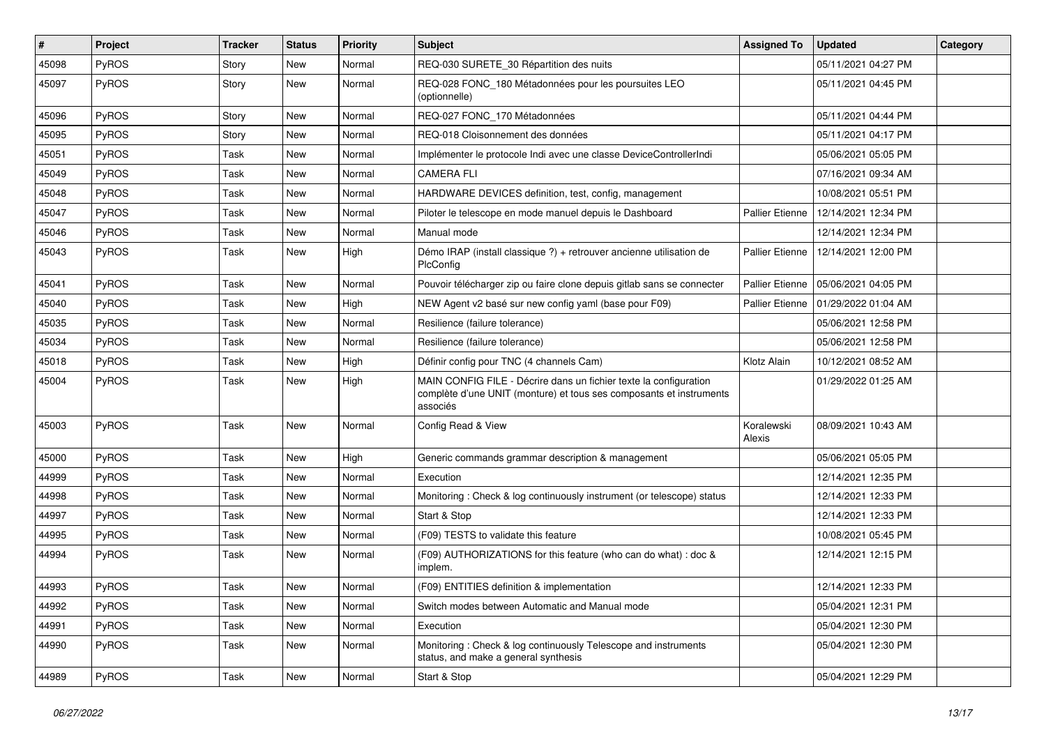| #     | Project | <b>Tracker</b> | <b>Status</b> | <b>Priority</b> | <b>Subject</b>                                                                                                                                       | <b>Assigned To</b>     | <b>Updated</b>      | Category |
|-------|---------|----------------|---------------|-----------------|------------------------------------------------------------------------------------------------------------------------------------------------------|------------------------|---------------------|----------|
| 45098 | PyROS   | Story          | <b>New</b>    | Normal          | REQ-030 SURETE_30 Répartition des nuits                                                                                                              |                        | 05/11/2021 04:27 PM |          |
| 45097 | PyROS   | Story          | New           | Normal          | REQ-028 FONC_180 Métadonnées pour les poursuites LEO<br>(optionnelle)                                                                                |                        | 05/11/2021 04:45 PM |          |
| 45096 | PyROS   | Story          | <b>New</b>    | Normal          | REQ-027 FONC_170 Métadonnées                                                                                                                         |                        | 05/11/2021 04:44 PM |          |
| 45095 | PyROS   | Story          | New           | Normal          | REQ-018 Cloisonnement des données                                                                                                                    |                        | 05/11/2021 04:17 PM |          |
| 45051 | PyROS   | Task           | <b>New</b>    | Normal          | Implémenter le protocole Indi avec une classe DeviceControllerIndi                                                                                   |                        | 05/06/2021 05:05 PM |          |
| 45049 | PyROS   | Task           | <b>New</b>    | Normal          | <b>CAMERA FLI</b>                                                                                                                                    |                        | 07/16/2021 09:34 AM |          |
| 45048 | PyROS   | Task           | <b>New</b>    | Normal          | HARDWARE DEVICES definition, test, config, management                                                                                                |                        | 10/08/2021 05:51 PM |          |
| 45047 | PyROS   | Task           | <b>New</b>    | Normal          | Piloter le telescope en mode manuel depuis le Dashboard                                                                                              | <b>Pallier Etienne</b> | 12/14/2021 12:34 PM |          |
| 45046 | PyROS   | Task           | New           | Normal          | Manual mode                                                                                                                                          |                        | 12/14/2021 12:34 PM |          |
| 45043 | PyROS   | Task           | <b>New</b>    | High            | Démo IRAP (install classique ?) + retrouver ancienne utilisation de<br>PlcConfig                                                                     | Pallier Etienne        | 12/14/2021 12:00 PM |          |
| 45041 | PyROS   | Task           | <b>New</b>    | Normal          | Pouvoir télécharger zip ou faire clone depuis gitlab sans se connecter                                                                               | Pallier Etienne        | 05/06/2021 04:05 PM |          |
| 45040 | PyROS   | Task           | <b>New</b>    | High            | NEW Agent v2 basé sur new config yaml (base pour F09)                                                                                                | <b>Pallier Etienne</b> | 01/29/2022 01:04 AM |          |
| 45035 | PyROS   | Task           | <b>New</b>    | Normal          | Resilience (failure tolerance)                                                                                                                       |                        | 05/06/2021 12:58 PM |          |
| 45034 | PyROS   | Task           | <b>New</b>    | Normal          | Resilience (failure tolerance)                                                                                                                       |                        | 05/06/2021 12:58 PM |          |
| 45018 | PyROS   | Task           | <b>New</b>    | High            | Définir config pour TNC (4 channels Cam)                                                                                                             | Klotz Alain            | 10/12/2021 08:52 AM |          |
| 45004 | PyROS   | Task           | New           | High            | MAIN CONFIG FILE - Décrire dans un fichier texte la configuration<br>complète d'une UNIT (monture) et tous ses composants et instruments<br>associés |                        | 01/29/2022 01:25 AM |          |
| 45003 | PyROS   | Task           | <b>New</b>    | Normal          | Config Read & View                                                                                                                                   | Koralewski<br>Alexis   | 08/09/2021 10:43 AM |          |
| 45000 | PyROS   | Task           | <b>New</b>    | High            | Generic commands grammar description & management                                                                                                    |                        | 05/06/2021 05:05 PM |          |
| 44999 | PyROS   | Task           | <b>New</b>    | Normal          | Execution                                                                                                                                            |                        | 12/14/2021 12:35 PM |          |
| 44998 | PyROS   | Task           | <b>New</b>    | Normal          | Monitoring: Check & log continuously instrument (or telescope) status                                                                                |                        | 12/14/2021 12:33 PM |          |
| 44997 | PyROS   | Task           | New           | Normal          | Start & Stop                                                                                                                                         |                        | 12/14/2021 12:33 PM |          |
| 44995 | PyROS   | Task           | New           | Normal          | (F09) TESTS to validate this feature                                                                                                                 |                        | 10/08/2021 05:45 PM |          |
| 44994 | PyROS   | Task           | <b>New</b>    | Normal          | (F09) AUTHORIZATIONS for this feature (who can do what) : doc &<br>implem.                                                                           |                        | 12/14/2021 12:15 PM |          |
| 44993 | PyROS   | Task           | <b>New</b>    | Normal          | (F09) ENTITIES definition & implementation                                                                                                           |                        | 12/14/2021 12:33 PM |          |
| 44992 | PyROS   | Task           | <b>New</b>    | Normal          | Switch modes between Automatic and Manual mode                                                                                                       |                        | 05/04/2021 12:31 PM |          |
| 44991 | PyROS   | Task           | <b>New</b>    | Normal          | Execution                                                                                                                                            |                        | 05/04/2021 12:30 PM |          |
| 44990 | PyROS   | Task           | New           | Normal          | Monitoring: Check & log continuously Telescope and instruments<br>status, and make a general synthesis                                               |                        | 05/04/2021 12:30 PM |          |
| 44989 | PyROS   | Task           | New           | Normal          | Start & Stop                                                                                                                                         |                        | 05/04/2021 12:29 PM |          |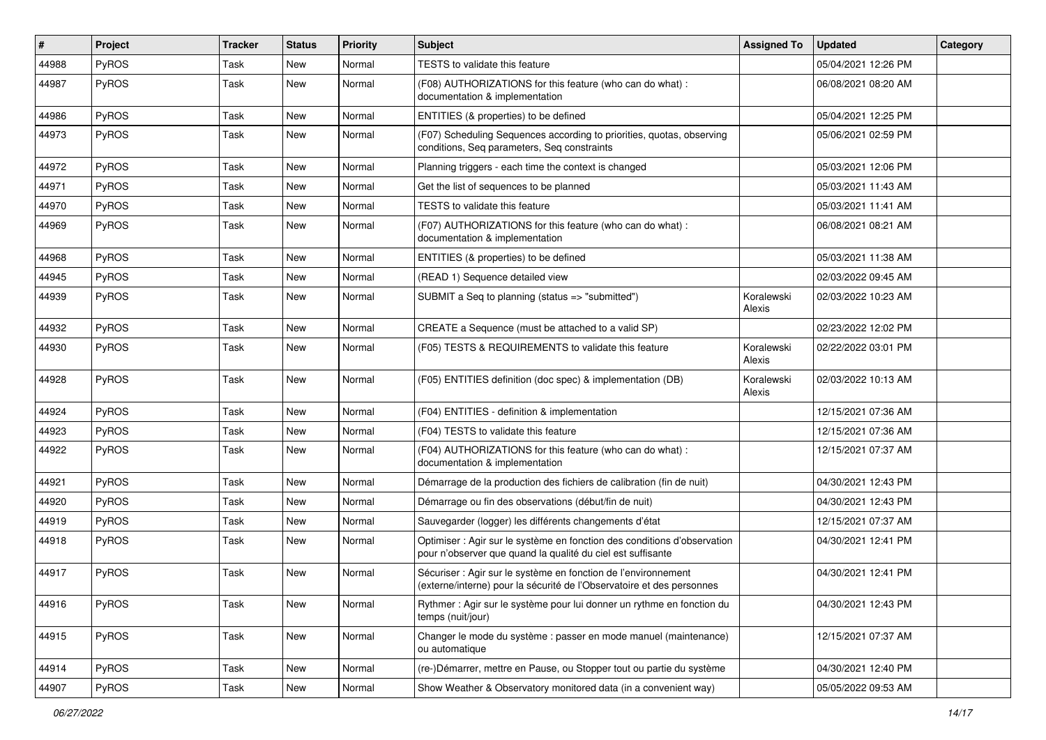| $\sharp$ | Project      | <b>Tracker</b> | <b>Status</b> | <b>Priority</b> | Subject                                                                                                                                 | <b>Assigned To</b>   | <b>Updated</b>      | Category |
|----------|--------------|----------------|---------------|-----------------|-----------------------------------------------------------------------------------------------------------------------------------------|----------------------|---------------------|----------|
| 44988    | PyROS        | Task           | New           | Normal          | TESTS to validate this feature                                                                                                          |                      | 05/04/2021 12:26 PM |          |
| 44987    | PyROS        | Task           | New           | Normal          | (F08) AUTHORIZATIONS for this feature (who can do what) :<br>documentation & implementation                                             |                      | 06/08/2021 08:20 AM |          |
| 44986    | PyROS        | Task           | New           | Normal          | ENTITIES (& properties) to be defined                                                                                                   |                      | 05/04/2021 12:25 PM |          |
| 44973    | <b>PyROS</b> | Task           | New           | Normal          | (F07) Scheduling Sequences according to priorities, quotas, observing<br>conditions, Seq parameters, Seq constraints                    |                      | 05/06/2021 02:59 PM |          |
| 44972    | PyROS        | Task           | New           | Normal          | Planning triggers - each time the context is changed                                                                                    |                      | 05/03/2021 12:06 PM |          |
| 44971    | PyROS        | Task           | New           | Normal          | Get the list of sequences to be planned                                                                                                 |                      | 05/03/2021 11:43 AM |          |
| 44970    | PyROS        | Task           | New           | Normal          | TESTS to validate this feature                                                                                                          |                      | 05/03/2021 11:41 AM |          |
| 44969    | PyROS        | Task           | New           | Normal          | (F07) AUTHORIZATIONS for this feature (who can do what) :<br>documentation & implementation                                             |                      | 06/08/2021 08:21 AM |          |
| 44968    | PyROS        | Task           | New           | Normal          | ENTITIES (& properties) to be defined                                                                                                   |                      | 05/03/2021 11:38 AM |          |
| 44945    | PyROS        | Task           | New           | Normal          | (READ 1) Sequence detailed view                                                                                                         |                      | 02/03/2022 09:45 AM |          |
| 44939    | <b>PyROS</b> | Task           | New           | Normal          | SUBMIT a Seq to planning (status => "submitted")                                                                                        | Koralewski<br>Alexis | 02/03/2022 10:23 AM |          |
| 44932    | PyROS        | Task           | New           | Normal          | CREATE a Sequence (must be attached to a valid SP)                                                                                      |                      | 02/23/2022 12:02 PM |          |
| 44930    | PyROS        | Task           | New           | Normal          | (F05) TESTS & REQUIREMENTS to validate this feature                                                                                     | Koralewski<br>Alexis | 02/22/2022 03:01 PM |          |
| 44928    | PyROS        | Task           | New           | Normal          | (F05) ENTITIES definition (doc spec) & implementation (DB)                                                                              | Koralewski<br>Alexis | 02/03/2022 10:13 AM |          |
| 44924    | PyROS        | Task           | New           | Normal          | (F04) ENTITIES - definition & implementation                                                                                            |                      | 12/15/2021 07:36 AM |          |
| 44923    | <b>PyROS</b> | Task           | New           | Normal          | (F04) TESTS to validate this feature                                                                                                    |                      | 12/15/2021 07:36 AM |          |
| 44922    | PyROS        | Task           | New           | Normal          | (F04) AUTHORIZATIONS for this feature (who can do what) :<br>documentation & implementation                                             |                      | 12/15/2021 07:37 AM |          |
| 44921    | <b>PyROS</b> | Task           | New           | Normal          | Démarrage de la production des fichiers de calibration (fin de nuit)                                                                    |                      | 04/30/2021 12:43 PM |          |
| 44920    | PyROS        | Task           | <b>New</b>    | Normal          | Démarrage ou fin des observations (début/fin de nuit)                                                                                   |                      | 04/30/2021 12:43 PM |          |
| 44919    | PyROS        | Task           | New           | Normal          | Sauvegarder (logger) les différents changements d'état                                                                                  |                      | 12/15/2021 07:37 AM |          |
| 44918    | PyROS        | Task           | New           | Normal          | Optimiser : Agir sur le système en fonction des conditions d'observation<br>pour n'observer que quand la qualité du ciel est suffisante |                      | 04/30/2021 12:41 PM |          |
| 44917    | PyROS        | Task           | New           | Normal          | Sécuriser : Agir sur le système en fonction de l'environnement<br>(externe/interne) pour la sécurité de l'Observatoire et des personnes |                      | 04/30/2021 12:41 PM |          |
| 44916    | PyROS        | Task           | New           | Normal          | Rythmer : Agir sur le système pour lui donner un rythme en fonction du<br>temps (nuit/jour)                                             |                      | 04/30/2021 12:43 PM |          |
| 44915    | PyROS        | Task           | New           | Normal          | Changer le mode du système : passer en mode manuel (maintenance)<br>ou automatique                                                      |                      | 12/15/2021 07:37 AM |          |
| 44914    | PyROS        | Task           | New           | Normal          | (re-)Démarrer, mettre en Pause, ou Stopper tout ou partie du système                                                                    |                      | 04/30/2021 12:40 PM |          |
| 44907    | PyROS        | Task           | New           | Normal          | Show Weather & Observatory monitored data (in a convenient way)                                                                         |                      | 05/05/2022 09:53 AM |          |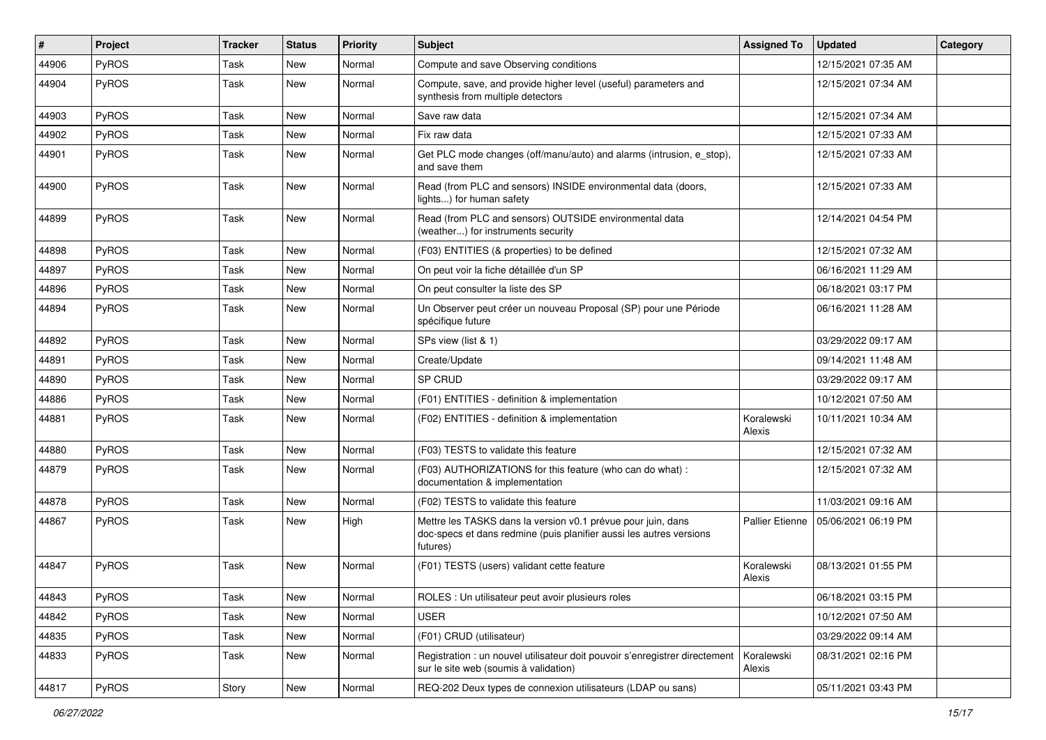| #     | Project      | <b>Tracker</b> | <b>Status</b> | <b>Priority</b> | Subject                                                                                                                                         | <b>Assigned To</b>     | <b>Updated</b>      | Category |
|-------|--------------|----------------|---------------|-----------------|-------------------------------------------------------------------------------------------------------------------------------------------------|------------------------|---------------------|----------|
| 44906 | PyROS        | Task           | <b>New</b>    | Normal          | Compute and save Observing conditions                                                                                                           |                        | 12/15/2021 07:35 AM |          |
| 44904 | PyROS        | Task           | <b>New</b>    | Normal          | Compute, save, and provide higher level (useful) parameters and<br>synthesis from multiple detectors                                            |                        | 12/15/2021 07:34 AM |          |
| 44903 | PyROS        | Task           | <b>New</b>    | Normal          | Save raw data                                                                                                                                   |                        | 12/15/2021 07:34 AM |          |
| 44902 | PyROS        | Task           | <b>New</b>    | Normal          | Fix raw data                                                                                                                                    |                        | 12/15/2021 07:33 AM |          |
| 44901 | PyROS        | Task           | <b>New</b>    | Normal          | Get PLC mode changes (off/manu/auto) and alarms (intrusion, e_stop),<br>and save them                                                           |                        | 12/15/2021 07:33 AM |          |
| 44900 | PyROS        | Task           | New           | Normal          | Read (from PLC and sensors) INSIDE environmental data (doors,<br>lights) for human safety                                                       |                        | 12/15/2021 07:33 AM |          |
| 44899 | PyROS        | Task           | New           | Normal          | Read (from PLC and sensors) OUTSIDE environmental data<br>(weather) for instruments security                                                    |                        | 12/14/2021 04:54 PM |          |
| 44898 | PyROS        | Task           | <b>New</b>    | Normal          | (F03) ENTITIES (& properties) to be defined                                                                                                     |                        | 12/15/2021 07:32 AM |          |
| 44897 | PyROS        | Task           | <b>New</b>    | Normal          | On peut voir la fiche détaillée d'un SP                                                                                                         |                        | 06/16/2021 11:29 AM |          |
| 44896 | PyROS        | Task           | <b>New</b>    | Normal          | On peut consulter la liste des SP                                                                                                               |                        | 06/18/2021 03:17 PM |          |
| 44894 | PyROS        | Task           | <b>New</b>    | Normal          | Un Observer peut créer un nouveau Proposal (SP) pour une Période<br>spécifique future                                                           |                        | 06/16/2021 11:28 AM |          |
| 44892 | PyROS        | Task           | <b>New</b>    | Normal          | SPs view (list & 1)                                                                                                                             |                        | 03/29/2022 09:17 AM |          |
| 44891 | PyROS        | Task           | <b>New</b>    | Normal          | Create/Update                                                                                                                                   |                        | 09/14/2021 11:48 AM |          |
| 44890 | PyROS        | Task           | <b>New</b>    | Normal          | SP CRUD                                                                                                                                         |                        | 03/29/2022 09:17 AM |          |
| 44886 | PyROS        | Task           | <b>New</b>    | Normal          | (F01) ENTITIES - definition & implementation                                                                                                    |                        | 10/12/2021 07:50 AM |          |
| 44881 | PyROS        | Task           | <b>New</b>    | Normal          | (F02) ENTITIES - definition & implementation                                                                                                    | Koralewski<br>Alexis   | 10/11/2021 10:34 AM |          |
| 44880 | PyROS        | Task           | <b>New</b>    | Normal          | (F03) TESTS to validate this feature                                                                                                            |                        | 12/15/2021 07:32 AM |          |
| 44879 | <b>PyROS</b> | Task           | New           | Normal          | (F03) AUTHORIZATIONS for this feature (who can do what) :<br>documentation & implementation                                                     |                        | 12/15/2021 07:32 AM |          |
| 44878 | PyROS        | Task           | <b>New</b>    | Normal          | (F02) TESTS to validate this feature                                                                                                            |                        | 11/03/2021 09:16 AM |          |
| 44867 | PyROS        | Task           | <b>New</b>    | High            | Mettre les TASKS dans la version v0.1 prévue pour juin, dans<br>doc-specs et dans redmine (puis planifier aussi les autres versions<br>futures) | <b>Pallier Etienne</b> | 05/06/2021 06:19 PM |          |
| 44847 | PyROS        | Task           | <b>New</b>    | Normal          | (F01) TESTS (users) validant cette feature                                                                                                      | Koralewski<br>Alexis   | 08/13/2021 01:55 PM |          |
| 44843 | PyROS        | Task           | New           | Normal          | ROLES : Un utilisateur peut avoir plusieurs roles                                                                                               |                        | 06/18/2021 03:15 PM |          |
| 44842 | PyROS        | Task           | New           | Normal          | <b>USER</b>                                                                                                                                     |                        | 10/12/2021 07:50 AM |          |
| 44835 | <b>PyROS</b> | Task           | New           | Normal          | (F01) CRUD (utilisateur)                                                                                                                        |                        | 03/29/2022 09:14 AM |          |
| 44833 | PyROS        | Task           | New           | Normal          | Registration : un nouvel utilisateur doit pouvoir s'enregistrer directement<br>sur le site web (soumis à validation)                            | Koralewski<br>Alexis   | 08/31/2021 02:16 PM |          |
| 44817 | PyROS        | Story          | New           | Normal          | REQ-202 Deux types de connexion utilisateurs (LDAP ou sans)                                                                                     |                        | 05/11/2021 03:43 PM |          |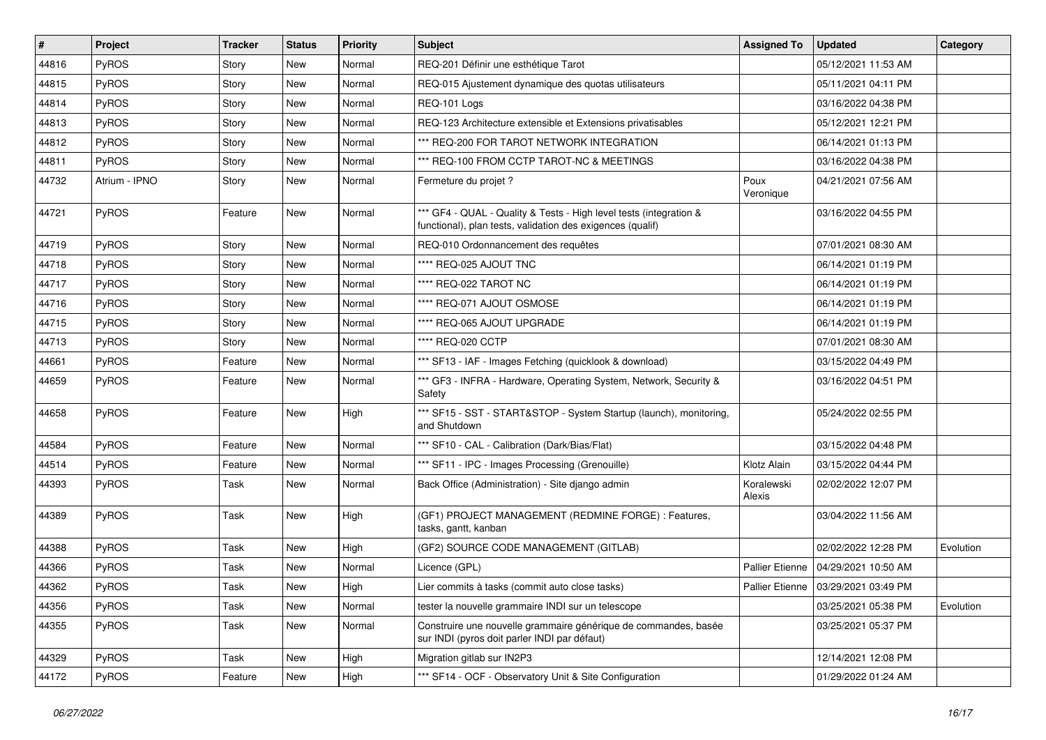| $\vert$ # | Project       | <b>Tracker</b> | <b>Status</b> | <b>Priority</b> | <b>Subject</b>                                                                                                                   | <b>Assigned To</b>   | <b>Updated</b>                        | Category  |
|-----------|---------------|----------------|---------------|-----------------|----------------------------------------------------------------------------------------------------------------------------------|----------------------|---------------------------------------|-----------|
| 44816     | PyROS         | Story          | <b>New</b>    | Normal          | REQ-201 Définir une esthétique Tarot                                                                                             |                      | 05/12/2021 11:53 AM                   |           |
| 44815     | PyROS         | Story          | <b>New</b>    | Normal          | REQ-015 Ajustement dynamique des quotas utilisateurs                                                                             |                      | 05/11/2021 04:11 PM                   |           |
| 44814     | PyROS         | Story          | <b>New</b>    | Normal          | REQ-101 Logs                                                                                                                     |                      | 03/16/2022 04:38 PM                   |           |
| 44813     | PyROS         | Story          | New           | Normal          | REQ-123 Architecture extensible et Extensions privatisables                                                                      |                      | 05/12/2021 12:21 PM                   |           |
| 44812     | PyROS         | Story          | New           | Normal          | *** REQ-200 FOR TAROT NETWORK INTEGRATION                                                                                        |                      | 06/14/2021 01:13 PM                   |           |
| 44811     | <b>PyROS</b>  | Story          | New           | Normal          | *** REQ-100 FROM CCTP TAROT-NC & MEETINGS                                                                                        |                      | 03/16/2022 04:38 PM                   |           |
| 44732     | Atrium - IPNO | Story          | New           | Normal          | Fermeture du projet ?                                                                                                            | Poux<br>Veronique    | 04/21/2021 07:56 AM                   |           |
| 44721     | PyROS         | Feature        | New           | Normal          | *** GF4 - QUAL - Quality & Tests - High level tests (integration &<br>functional), plan tests, validation des exigences (qualif) |                      | 03/16/2022 04:55 PM                   |           |
| 44719     | PyROS         | Story          | <b>New</b>    | Normal          | REQ-010 Ordonnancement des requêtes                                                                                              |                      | 07/01/2021 08:30 AM                   |           |
| 44718     | PyROS         | Story          | New           | Normal          | **** REQ-025 AJOUT TNC                                                                                                           |                      | 06/14/2021 01:19 PM                   |           |
| 44717     | PyROS         | Story          | New           | Normal          | **** REQ-022 TAROT NC                                                                                                            |                      | 06/14/2021 01:19 PM                   |           |
| 44716     | PyROS         | Story          | New           | Normal          | **** REQ-071 AJOUT OSMOSE                                                                                                        |                      | 06/14/2021 01:19 PM                   |           |
| 44715     | PyROS         | Story          | <b>New</b>    | Normal          | **** REQ-065 AJOUT UPGRADE                                                                                                       |                      | 06/14/2021 01:19 PM                   |           |
| 44713     | PyROS         | Story          | New           | Normal          | **** REQ-020 CCTP                                                                                                                |                      | 07/01/2021 08:30 AM                   |           |
| 44661     | PyROS         | Feature        | <b>New</b>    | Normal          | *** SF13 - IAF - Images Fetching (quicklook & download)                                                                          |                      | 03/15/2022 04:49 PM                   |           |
| 44659     | PyROS         | Feature        | <b>New</b>    | Normal          | *** GF3 - INFRA - Hardware, Operating System, Network, Security &<br>Safety                                                      |                      | 03/16/2022 04:51 PM                   |           |
| 44658     | PyROS         | Feature        | <b>New</b>    | High            | *** SF15 - SST - START&STOP - System Startup (launch), monitoring,<br>and Shutdown                                               |                      | 05/24/2022 02:55 PM                   |           |
| 44584     | PyROS         | Feature        | <b>New</b>    | Normal          | *** SF10 - CAL - Calibration (Dark/Bias/Flat)                                                                                    |                      | 03/15/2022 04:48 PM                   |           |
| 44514     | PyROS         | Feature        | <b>New</b>    | Normal          | *** SF11 - IPC - Images Processing (Grenouille)                                                                                  | Klotz Alain          | 03/15/2022 04:44 PM                   |           |
| 44393     | <b>PyROS</b>  | Task           | New           | Normal          | Back Office (Administration) - Site django admin                                                                                 | Koralewski<br>Alexis | 02/02/2022 12:07 PM                   |           |
| 44389     | PyROS         | Task           | <b>New</b>    | High            | (GF1) PROJECT MANAGEMENT (REDMINE FORGE) : Features,<br>tasks, gantt, kanban                                                     |                      | 03/04/2022 11:56 AM                   |           |
| 44388     | PyROS         | Task           | <b>New</b>    | High            | (GF2) SOURCE CODE MANAGEMENT (GITLAB)                                                                                            |                      | 02/02/2022 12:28 PM                   | Evolution |
| 44366     | PyROS         | Task           | New           | Normal          | Licence (GPL)                                                                                                                    | Pallier Etienne      | 04/29/2021 10:50 AM                   |           |
| 44362     | <b>PyROS</b>  | Task           | New           | High            | Lier commits à tasks (commit auto close tasks)                                                                                   |                      | Pallier Etienne   03/29/2021 03:49 PM |           |
| 44356     | PyROS         | Task           | <b>New</b>    | Normal          | tester la nouvelle grammaire INDI sur un telescope                                                                               |                      | 03/25/2021 05:38 PM                   | Evolution |
| 44355     | PyROS         | Task           | New           | Normal          | Construire une nouvelle grammaire générique de commandes, basée<br>sur INDI (pyros doit parler INDI par défaut)                  |                      | 03/25/2021 05:37 PM                   |           |
| 44329     | PyROS         | Task           | New           | High            | Migration gitlab sur IN2P3                                                                                                       |                      | 12/14/2021 12:08 PM                   |           |
| 44172     | PyROS         | Feature        | New           | High            | *** SF14 - OCF - Observatory Unit & Site Configuration                                                                           |                      | 01/29/2022 01:24 AM                   |           |